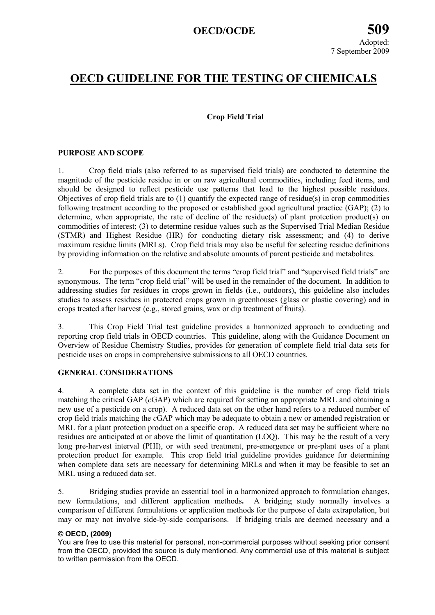# **OECD GUIDELINE FOR THE TESTING OF CHEMICALS**

## **Crop Field Trial**

## **PURPOSE AND SCOPE**

1. Crop field trials (also referred to as supervised field trials) are conducted to determine the magnitude of the pesticide residue in or on raw agricultural commodities, including feed items, and should be designed to reflect pesticide use patterns that lead to the highest possible residues. Objectives of crop field trials are to (1) quantify the expected range of residue(s) in crop commodities following treatment according to the proposed or established good agricultural practice (GAP); (2) to determine, when appropriate, the rate of decline of the residue(s) of plant protection product(s) on commodities of interest; (3) to determine residue values such as the Supervised Trial Median Residue (STMR) and Highest Residue (HR) for conducting dietary risk assessment; and (4) to derive maximum residue limits (MRLs). Crop field trials may also be useful for selecting residue definitions by providing information on the relative and absolute amounts of parent pesticide and metabolites.

2. For the purposes of this document the terms "crop field trial" and "supervised field trials" are synonymous. The term "crop field trial" will be used in the remainder of the document. In addition to addressing studies for residues in crops grown in fields (i.e., outdoors), this guideline also includes studies to assess residues in protected crops grown in greenhouses (glass or plastic covering) and in crops treated after harvest (e.g., stored grains, wax or dip treatment of fruits).

3. This Crop Field Trial test guideline provides a harmonized approach to conducting and reporting crop field trials in OECD countries. This guideline, along with the Guidance Document on Overview of Residue Chemistry Studies, provides for generation of complete field trial data sets for pesticide uses on crops in comprehensive submissions to all OECD countries.

## **GENERAL CONSIDERATIONS**

4. A complete data set in the context of this guideline is the number of crop field trials matching the critical GAP (*c*GAP) which are required for setting an appropriate MRL and obtaining a new use of a pesticide on a crop). A reduced data set on the other hand refers to a reduced number of crop field trials matching the *c*GAP which may be adequate to obtain a new or amended registration or MRL for a plant protection product on a specific crop. A reduced data set may be sufficient where no residues are anticipated at or above the limit of quantitation (LOQ). This may be the result of a very long pre-harvest interval (PHI), or with seed treatment, pre-emergence or pre-plant uses of a plant protection product for example. This crop field trial guideline provides guidance for determining when complete data sets are necessary for determining MRLs and when it may be feasible to set an MRL using a reduced data set.

5. Bridging studies provide an essential tool in a harmonized approach to formulation changes, new formulations, and different application methods**.** A bridging study normally involves a comparison of different formulations or application methods for the purpose of data extrapolation, but may or may not involve side-by-side comparisons. If bridging trials are deemed necessary and a

## **© OECD, (2009)**

You are free to use this material for personal, non-commercial purposes without seeking prior consent from the OECD, provided the source is duly mentioned. Any commercial use of this material is subject to written permission from the OECD.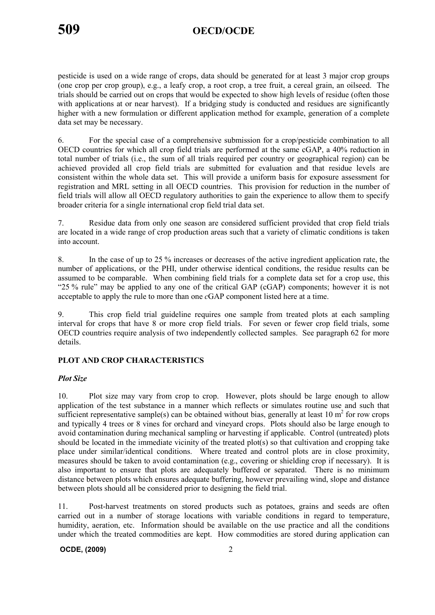pesticide is used on a wide range of crops, data should be generated for at least 3 major crop groups (one crop per crop group), e.g., a leafy crop, a root crop, a tree fruit, a cereal grain, an oilseed. The trials should be carried out on crops that would be expected to show high levels of residue (often those with applications at or near harvest). If a bridging study is conducted and residues are significantly higher with a new formulation or different application method for example, generation of a complete data set may be necessary.

6. For the special case of a comprehensive submission for a crop/pesticide combination to all OECD countries for which all crop field trials are performed at the same cGAP, a 40% reduction in total number of trials (i.e., the sum of all trials required per country or geographical region) can be achieved provided all crop field trials are submitted for evaluation and that residue levels are consistent within the whole data set. This will provide a uniform basis for exposure assessment for registration and MRL setting in all OECD countries. This provision for reduction in the number of field trials will allow all OECD regulatory authorities to gain the experience to allow them to specify broader criteria for a single international crop field trial data set.

7. Residue data from only one season are considered sufficient provided that crop field trials are located in a wide range of crop production areas such that a variety of climatic conditions is taken into account.

8. In the case of up to 25 % increases or decreases of the active ingredient application rate, the number of applications, or the PHI, under otherwise identical conditions, the residue results can be assumed to be comparable. When combining field trials for a complete data set for a crop use, this "25 % rule" may be applied to any one of the critical GAP (cGAP) components; however it is not acceptable to apply the rule to more than one *c*GAP component listed here at a time.

9. This crop field trial guideline requires one sample from treated plots at each sampling interval for crops that have 8 or more crop field trials. For seven or fewer crop field trials, some OECD countries require analysis of two independently collected samples. See paragraph 62 for more details.

## **PLOT AND CROP CHARACTERISTICS**

## *Plot Size*

10. Plot size may vary from crop to crop. However, plots should be large enough to allow application of the test substance in a manner which reflects or simulates routine use and such that sufficient representative sample(s) can be obtained without bias, generally at least 10  $m<sup>2</sup>$  for row crops and typically 4 trees or 8 vines for orchard and vineyard crops. Plots should also be large enough to avoid contamination during mechanical sampling or harvesting if applicable. Control (untreated) plots should be located in the immediate vicinity of the treated plot(s) so that cultivation and cropping take place under similar/identical conditions. Where treated and control plots are in close proximity, measures should be taken to avoid contamination (e.g., covering or shielding crop if necessary). It is also important to ensure that plots are adequately buffered or separated. There is no minimum distance between plots which ensures adequate buffering, however prevailing wind, slope and distance between plots should all be considered prior to designing the field trial.

11. Post-harvest treatments on stored products such as potatoes, grains and seeds are often carried out in a number of storage locations with variable conditions in regard to temperature, humidity, aeration, etc. Information should be available on the use practice and all the conditions under which the treated commodities are kept. How commodities are stored during application can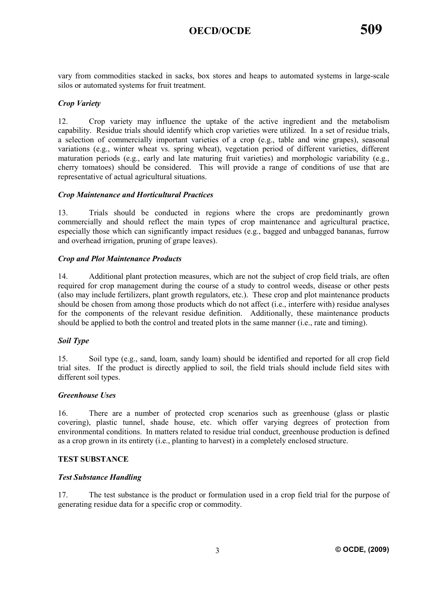vary from commodities stacked in sacks, box stores and heaps to automated systems in large-scale silos or automated systems for fruit treatment.

## *Crop Variety*

12. Crop variety may influence the uptake of the active ingredient and the metabolism capability. Residue trials should identify which crop varieties were utilized. In a set of residue trials, a selection of commercially important varieties of a crop (e.g., table and wine grapes), seasonal variations (e.g., winter wheat vs. spring wheat), vegetation period of different varieties, different maturation periods (e.g., early and late maturing fruit varieties) and morphologic variability (e.g., cherry tomatoes) should be considered. This will provide a range of conditions of use that are representative of actual agricultural situations.

## *Crop Maintenance and Horticultural Practices*

13. Trials should be conducted in regions where the crops are predominantly grown commercially and should reflect the main types of crop maintenance and agricultural practice, especially those which can significantly impact residues (e.g., bagged and unbagged bananas, furrow and overhead irrigation, pruning of grape leaves).

#### *Crop and Plot Maintenance Products*

14. Additional plant protection measures, which are not the subject of crop field trials, are often required for crop management during the course of a study to control weeds, disease or other pests (also may include fertilizers, plant growth regulators, etc.). These crop and plot maintenance products should be chosen from among those products which do not affect (i.e., interfere with) residue analyses for the components of the relevant residue definition. Additionally, these maintenance products should be applied to both the control and treated plots in the same manner (i.e., rate and timing).

## *Soil Type*

15. Soil type (e.g., sand, loam, sandy loam) should be identified and reported for all crop field trial sites. If the product is directly applied to soil, the field trials should include field sites with different soil types.

#### *Greenhouse Uses*

16. There are a number of protected crop scenarios such as greenhouse (glass or plastic covering), plastic tunnel, shade house, etc. which offer varying degrees of protection from environmental conditions. In matters related to residue trial conduct, greenhouse production is defined as a crop grown in its entirety (i.e., planting to harvest) in a completely enclosed structure.

#### **TEST SUBSTANCE**

## *Test Substance Handling*

17. The test substance is the product or formulation used in a crop field trial for the purpose of generating residue data for a specific crop or commodity.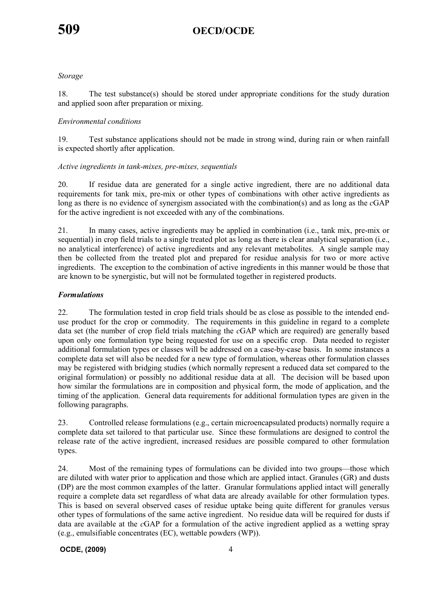## *Storage*

18. The test substance(s) should be stored under appropriate conditions for the study duration and applied soon after preparation or mixing.

## *Environmental conditions*

19. Test substance applications should not be made in strong wind, during rain or when rainfall is expected shortly after application.

## *Active ingredients in tank-mixes, pre-mixes, sequentials*

20. If residue data are generated for a single active ingredient, there are no additional data requirements for tank mix, pre-mix or other types of combinations with other active ingredients as long as there is no evidence of synergism associated with the combination(s) and as long as the *c*GAP for the active ingredient is not exceeded with any of the combinations.

21. In many cases, active ingredients may be applied in combination (i.e., tank mix, pre-mix or sequential) in crop field trials to a single treated plot as long as there is clear analytical separation (i.e., no analytical interference) of active ingredients and any relevant metabolites. A single sample may then be collected from the treated plot and prepared for residue analysis for two or more active ingredients. The exception to the combination of active ingredients in this manner would be those that are known to be synergistic, but will not be formulated together in registered products.

## *Formulations*

22. The formulation tested in crop field trials should be as close as possible to the intended enduse product for the crop or commodity. The requirements in this guideline in regard to a complete data set (the number of crop field trials matching the *c*GAP which are required) are generally based upon only one formulation type being requested for use on a specific crop. Data needed to register additional formulation types or classes will be addressed on a case-by-case basis. In some instances a complete data set will also be needed for a new type of formulation, whereas other formulation classes may be registered with bridging studies (which normally represent a reduced data set compared to the original formulation) or possibly no additional residue data at all. The decision will be based upon how similar the formulations are in composition and physical form, the mode of application, and the timing of the application. General data requirements for additional formulation types are given in the following paragraphs.

23. Controlled release formulations (e.g., certain microencapsulated products) normally require a complete data set tailored to that particular use. Since these formulations are designed to control the release rate of the active ingredient, increased residues are possible compared to other formulation types.

24. Most of the remaining types of formulations can be divided into two groups—those which are diluted with water prior to application and those which are applied intact. Granules (GR) and dusts (DP) are the most common examples of the latter. Granular formulations applied intact will generally require a complete data set regardless of what data are already available for other formulation types. This is based on several observed cases of residue uptake being quite different for granules versus other types of formulations of the same active ingredient. No residue data will be required for dusts if data are available at the *c*GAP for a formulation of the active ingredient applied as a wetting spray (e.g., emulsifiable concentrates (EC), wettable powders (WP)).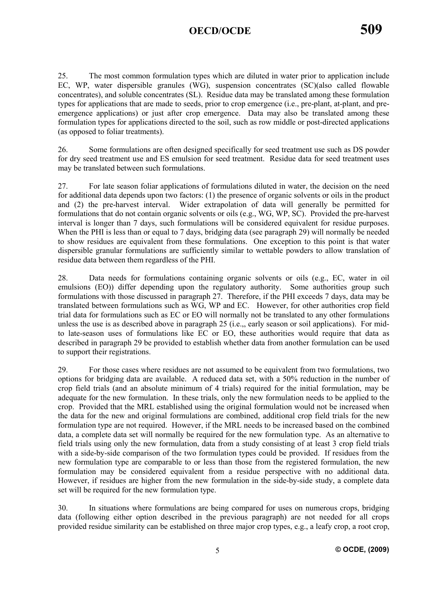25. The most common formulation types which are diluted in water prior to application include EC, WP, water dispersible granules (WG), suspension concentrates (SC)(also called flowable concentrates), and soluble concentrates (SL). Residue data may be translated among these formulation types for applications that are made to seeds, prior to crop emergence (i.e., pre-plant, at-plant, and preemergence applications) or just after crop emergence. Data may also be translated among these formulation types for applications directed to the soil, such as row middle or post-directed applications (as opposed to foliar treatments).

26. Some formulations are often designed specifically for seed treatment use such as DS powder for dry seed treatment use and ES emulsion for seed treatment. Residue data for seed treatment uses may be translated between such formulations.

27. For late season foliar applications of formulations diluted in water, the decision on the need for additional data depends upon two factors: (1) the presence of organic solvents or oils in the product and (2) the pre-harvest interval. Wider extrapolation of data will generally be permitted for formulations that do not contain organic solvents or oils (e.g., WG, WP, SC). Provided the pre-harvest interval is longer than 7 days, such formulations will be considered equivalent for residue purposes. When the PHI is less than or equal to 7 days, bridging data (see paragraph 29) will normally be needed to show residues are equivalent from these formulations. One exception to this point is that water dispersible granular formulations are sufficiently similar to wettable powders to allow translation of residue data between them regardless of the PHI.

28. Data needs for formulations containing organic solvents or oils (e.g., EC, water in oil emulsions (EO)) differ depending upon the regulatory authority. Some authorities group such formulations with those discussed in paragraph 27. Therefore, if the PHI exceeds 7 days, data may be translated between formulations such as WG, WP and EC. However, for other authorities crop field trial data for formulations such as EC or EO will normally not be translated to any other formulations unless the use is as described above in paragraph 25 (i.e.,, early season or soil applications). For midto late-season uses of formulations like EC or EO, these authorities would require that data as described in paragraph 29 be provided to establish whether data from another formulation can be used to support their registrations.

29. For those cases where residues are not assumed to be equivalent from two formulations, two options for bridging data are available. A reduced data set, with a 50% reduction in the number of crop field trials (and an absolute minimum of 4 trials) required for the initial formulation, may be adequate for the new formulation. In these trials, only the new formulation needs to be applied to the crop. Provided that the MRL established using the original formulation would not be increased when the data for the new and original formulations are combined, additional crop field trials for the new formulation type are not required. However, if the MRL needs to be increased based on the combined data, a complete data set will normally be required for the new formulation type. As an alternative to field trials using only the new formulation, data from a study consisting of at least 3 crop field trials with a side-by-side comparison of the two formulation types could be provided. If residues from the new formulation type are comparable to or less than those from the registered formulation, the new formulation may be considered equivalent from a residue perspective with no additional data. However, if residues are higher from the new formulation in the side-by-side study, a complete data set will be required for the new formulation type.

30. In situations where formulations are being compared for uses on numerous crops, bridging data (following either option described in the previous paragraph) are not needed for all crops provided residue similarity can be established on three major crop types, e.g., a leafy crop, a root crop,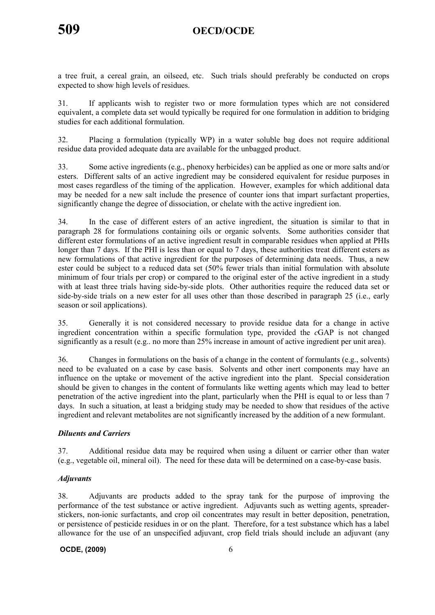a tree fruit, a cereal grain, an oilseed, etc. Such trials should preferably be conducted on crops expected to show high levels of residues.

31. If applicants wish to register two or more formulation types which are not considered equivalent, a complete data set would typically be required for one formulation in addition to bridging studies for each additional formulation.

32. Placing a formulation (typically WP) in a water soluble bag does not require additional residue data provided adequate data are available for the unbagged product.

33. Some active ingredients (e.g., phenoxy herbicides) can be applied as one or more salts and/or esters. Different salts of an active ingredient may be considered equivalent for residue purposes in most cases regardless of the timing of the application. However, examples for which additional data may be needed for a new salt include the presence of counter ions that impart surfactant properties, significantly change the degree of dissociation, or chelate with the active ingredient ion.

34. In the case of different esters of an active ingredient, the situation is similar to that in paragraph 28 for formulations containing oils or organic solvents. Some authorities consider that different ester formulations of an active ingredient result in comparable residues when applied at PHIs longer than 7 days. If the PHI is less than or equal to 7 days, these authorities treat different esters as new formulations of that active ingredient for the purposes of determining data needs. Thus, a new ester could be subject to a reduced data set (50% fewer trials than initial formulation with absolute minimum of four trials per crop) or compared to the original ester of the active ingredient in a study with at least three trials having side-by-side plots. Other authorities require the reduced data set or side-by-side trials on a new ester for all uses other than those described in paragraph 25 (i.e., early season or soil applications).

35. Generally it is not considered necessary to provide residue data for a change in active ingredient concentration within a specific formulation type, provided the *c*GAP is not changed significantly as a result (e.g.. no more than 25% increase in amount of active ingredient per unit area).

36. Changes in formulations on the basis of a change in the content of formulants (e.g., solvents) need to be evaluated on a case by case basis. Solvents and other inert components may have an influence on the uptake or movement of the active ingredient into the plant. Special consideration should be given to changes in the content of formulants like wetting agents which may lead to better penetration of the active ingredient into the plant, particularly when the PHI is equal to or less than 7 days. In such a situation, at least a bridging study may be needed to show that residues of the active ingredient and relevant metabolites are not significantly increased by the addition of a new formulant.

## *Diluents and Carriers*

37. Additional residue data may be required when using a diluent or carrier other than water (e.g., vegetable oil, mineral oil). The need for these data will be determined on a case-by-case basis.

## *Adjuvants*

38. Adjuvants are products added to the spray tank for the purpose of improving the performance of the test substance or active ingredient. Adjuvants such as wetting agents, spreaderstickers, non-ionic surfactants, and crop oil concentrates may result in better deposition, penetration, or persistence of pesticide residues in or on the plant. Therefore, for a test substance which has a label allowance for the use of an unspecified adjuvant, crop field trials should include an adjuvant (any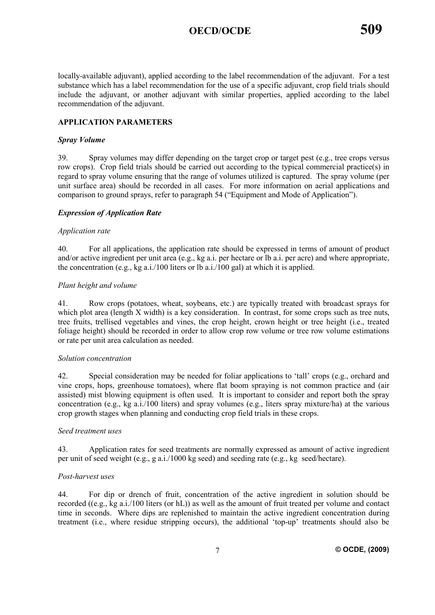locally-available adjuvant), applied according to the label recommendation of the adjuvant. For a test substance which has a label recommendation for the use of a specific adjuvant, crop field trials should include the adjuvant, or another adjuvant with similar properties, applied according to the label recommendation of the adjuvant.

## **APPLICATION PARAMETERS**

## *Spray Volume*

39. Spray volumes may differ depending on the target crop or target pest (e.g., tree crops versus row crops). Crop field trials should be carried out according to the typical commercial practice(s) in regard to spray volume ensuring that the range of volumes utilized is captured. The spray volume (per unit surface area) should be recorded in all cases. For more information on aerial applications and comparison to ground sprays, refer to paragraph 54 ("Equipment and Mode of Application").

#### *Expression of Application Rate*

#### *Application rate*

40. For all applications, the application rate should be expressed in terms of amount of product and/or active ingredient per unit area (e.g., kg a.i. per hectare or lb a.i. per acre) and where appropriate, the concentration (e.g., kg  $a.i./100$  liters or lb  $a.i./100$  gal) at which it is applied.

#### *Plant height and volume*

41. Row crops (potatoes, wheat, soybeans, etc.) are typically treated with broadcast sprays for which plot area (length X width) is a key consideration. In contrast, for some crops such as tree nuts, tree fruits, trellised vegetables and vines, the crop height, crown height or tree height (i.e., treated foliage height) should be recorded in order to allow crop row volume or tree row volume estimations or rate per unit area calculation as needed.

#### *Solution concentration*

42. Special consideration may be needed for foliar applications to 'tall' crops (e.g., orchard and vine crops, hops, greenhouse tomatoes), where flat boom spraying is not common practice and (air assisted) mist blowing equipment is often used. It is important to consider and report both the spray concentration (e.g., kg a.j./100 liters) and spray volumes (e.g., liters spray mixture/ha) at the various crop growth stages when planning and conducting crop field trials in these crops.

#### *Seed treatment uses*

43. Application rates for seed treatments are normally expressed as amount of active ingredient per unit of seed weight (e.g., g a.i./1000 kg seed) and seeding rate (e.g., kg seed/hectare).

## *Post-harvest uses*

44. For dip or drench of fruit, concentration of the active ingredient in solution should be recorded ((e.g., kg a.i./100 liters (or hL)) as well as the amount of fruit treated per volume and contact time in seconds. Where dips are replenished to maintain the active ingredient concentration during treatment (i.e., where residue stripping occurs), the additional 'top-up' treatments should also be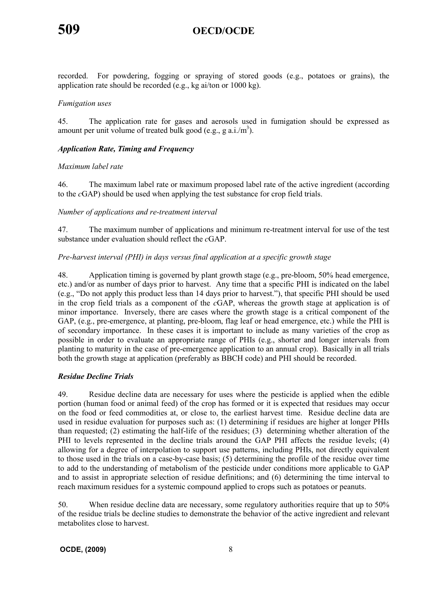recorded. For powdering, fogging or spraying of stored goods (e.g., potatoes or grains), the application rate should be recorded (e.g., kg ai/ton or 1000 kg).

## *Fumigation uses*

45. The application rate for gases and aerosols used in fumigation should be expressed as amount per unit volume of treated bulk good (e.g., g  $a.i./m^3$ ).

## *Application Rate, Timing and Frequency*

## *Maximum label rate*

46. The maximum label rate or maximum proposed label rate of the active ingredient (according to the *c*GAP) should be used when applying the test substance for crop field trials.

## *Number of applications and re-treatment interval*

47. The maximum number of applications and minimum re-treatment interval for use of the test substance under evaluation should reflect the *c*GAP.

## *Pre-harvest interval (PHI) in days versus final application at a specific growth stage*

48. Application timing is governed by plant growth stage (e.g., pre-bloom, 50% head emergence, etc.) and/or as number of days prior to harvest. Any time that a specific PHI is indicated on the label (e.g., "Do not apply this product less than 14 days prior to harvest."), that specific PHI should be used in the crop field trials as a component of the *c*GAP, whereas the growth stage at application is of minor importance. Inversely, there are cases where the growth stage is a critical component of the GAP, (e.g., pre-emergence, at planting, pre-bloom, flag leaf or head emergence, etc.) while the PHI is of secondary importance. In these cases it is important to include as many varieties of the crop as possible in order to evaluate an appropriate range of PHIs (e.g., shorter and longer intervals from planting to maturity in the case of pre-emergence application to an annual crop). Basically in all trials both the growth stage at application (preferably as BBCH code) and PHI should be recorded.

## *Residue Decline Trials*

49. Residue decline data are necessary for uses where the pesticide is applied when the edible portion (human food or animal feed) of the crop has formed or it is expected that residues may occur on the food or feed commodities at, or close to, the earliest harvest time. Residue decline data are used in residue evaluation for purposes such as: (1) determining if residues are higher at longer PHIs than requested; (2) estimating the half-life of the residues; (3) determining whether alteration of the PHI to levels represented in the decline trials around the GAP PHI affects the residue levels; (4) allowing for a degree of interpolation to support use patterns, including PHIs, not directly equivalent to those used in the trials on a case-by-case basis; (5) determining the profile of the residue over time to add to the understanding of metabolism of the pesticide under conditions more applicable to GAP and to assist in appropriate selection of residue definitions; and (6) determining the time interval to reach maximum residues for a systemic compound applied to crops such as potatoes or peanuts.

50. When residue decline data are necessary, some regulatory authorities require that up to 50% of the residue trials be decline studies to demonstrate the behavior of the active ingredient and relevant metabolites close to harvest.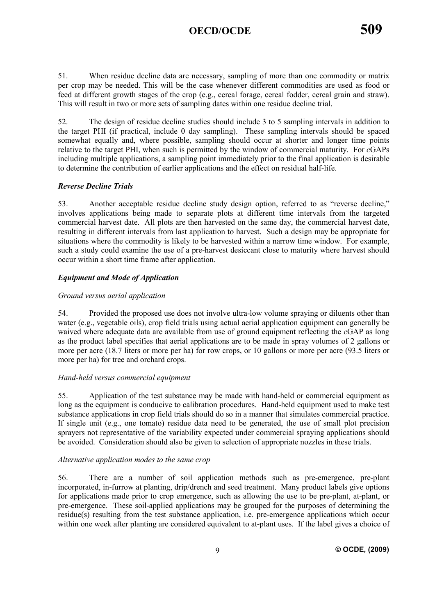51. When residue decline data are necessary, sampling of more than one commodity or matrix per crop may be needed. This will be the case whenever different commodities are used as food or feed at different growth stages of the crop (e.g., cereal forage, cereal fodder, cereal grain and straw). This will result in two or more sets of sampling dates within one residue decline trial.

52. The design of residue decline studies should include 3 to 5 sampling intervals in addition to the target PHI (if practical, include 0 day sampling). These sampling intervals should be spaced somewhat equally and, where possible, sampling should occur at shorter and longer time points relative to the target PHI, when such is permitted by the window of commercial maturity. For *c*GAPs including multiple applications, a sampling point immediately prior to the final application is desirable to determine the contribution of earlier applications and the effect on residual half-life.

## *Reverse Decline Trials*

53. Another acceptable residue decline study design option, referred to as "reverse decline," involves applications being made to separate plots at different time intervals from the targeted commercial harvest date. All plots are then harvested on the same day, the commercial harvest date, resulting in different intervals from last application to harvest. Such a design may be appropriate for situations where the commodity is likely to be harvested within a narrow time window. For example, such a study could examine the use of a pre-harvest desiccant close to maturity where harvest should occur within a short time frame after application.

## *Equipment and Mode of Application*

## *Ground versus aerial application*

54. Provided the proposed use does not involve ultra-low volume spraying or diluents other than water (e.g., vegetable oils), crop field trials using actual aerial application equipment can generally be waived where adequate data are available from use of ground equipment reflecting the *c*GAP as long as the product label specifies that aerial applications are to be made in spray volumes of 2 gallons or more per acre (18.7 liters or more per ha) for row crops, or 10 gallons or more per acre (93.5 liters or more per ha) for tree and orchard crops.

## *Hand-held versus commercial equipment*

55. Application of the test substance may be made with hand-held or commercial equipment as long as the equipment is conducive to calibration procedures. Hand-held equipment used to make test substance applications in crop field trials should do so in a manner that simulates commercial practice. If single unit (e.g., one tomato) residue data need to be generated, the use of small plot precision sprayers not representative of the variability expected under commercial spraying applications should be avoided. Consideration should also be given to selection of appropriate nozzles in these trials.

## *Alternative application modes to the same crop*

56. There are a number of soil application methods such as pre-emergence, pre-plant incorporated, in-furrow at planting, drip/drench and seed treatment. Many product labels give options for applications made prior to crop emergence, such as allowing the use to be pre-plant, at-plant, or pre-emergence. These soil-applied applications may be grouped for the purposes of determining the residue(s) resulting from the test substance application, i.e. pre-emergence applications which occur within one week after planting are considered equivalent to at-plant uses. If the label gives a choice of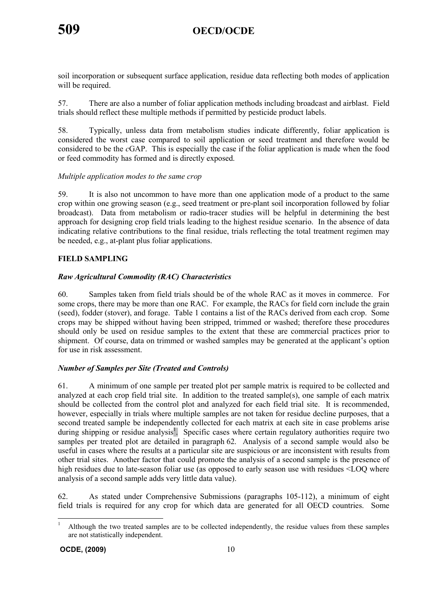soil incorporation or subsequent surface application, residue data reflecting both modes of application will be required.

57. There are also a number of foliar application methods including broadcast and airblast. Field trials should reflect these multiple methods if permitted by pesticide product labels.

58. Typically, unless data from metabolism studies indicate differently, foliar application is considered the worst case compared to soil application or seed treatment and therefore would be considered to be the *c*GAP. This is especially the case if the foliar application is made when the food or feed commodity has formed and is directly exposed.

## *Multiple application modes to the same crop*

59. It is also not uncommon to have more than one application mode of a product to the same crop within one growing season (e.g., seed treatment or pre-plant soil incorporation followed by foliar broadcast). Data from metabolism or radio-tracer studies will be helpful in determining the best approach for designing crop field trials leading to the highest residue scenario. In the absence of data indicating relative contributions to the final residue, trials reflecting the total treatment regimen may be needed, e.g., at-plant plus foliar applications.

## **FIELD SAMPLING**

## *Raw Agricultural Commodity (RAC) Characteristics*

60. Samples taken from field trials should be of the whole RAC as it moves in commerce. For some crops, there may be more than one RAC. For example, the RACs for field corn include the grain (seed), fodder (stover), and forage. Table 1 contains a list of the RACs derived from each crop. Some crops may be shipped without having been stripped, trimmed or washed; therefore these procedures should only be used on residue samples to the extent that these are commercial practices prior to shipment. Of course, data on trimmed or washed samples may be generated at the applicant's option for use in risk assessment.

## *Number of Samples per Site (Treated and Controls)*

61. A minimum of one sample per treated plot per sample matrix is required to be collected and analyzed at each crop field trial site. In addition to the treated sample(s), one sample of each matrix should be collected from the control plot and analyzed for each field trial site. It is recommended, however, especially in trials where multiple samples are not taken for residue decline purposes, that a second treated sample be independently collected for each matrix at each site in case problems arise during shipping or residue analysis<sup>1</sup>. Specific cases where certain regulatory authorities require two samples per treated plot are detailed in paragraph 62. Analysis of a second sample would also be useful in cases where the results at a particular site are suspicious or are inconsistent with results from other trial sites. Another factor that could promote the analysis of a second sample is the presence of high residues due to late-season foliar use (as opposed to early season use with residues <LOO where analysis of a second sample adds very little data value).

62. As stated under Comprehensive Submissions (paragraphs 105-112), a minimum of eight field trials is required for any crop for which data are generated for all OECD countries. Some

 $\overline{a}$ 1 Although the two treated samples are to be collected independently, the residue values from these samples are not statistically independent.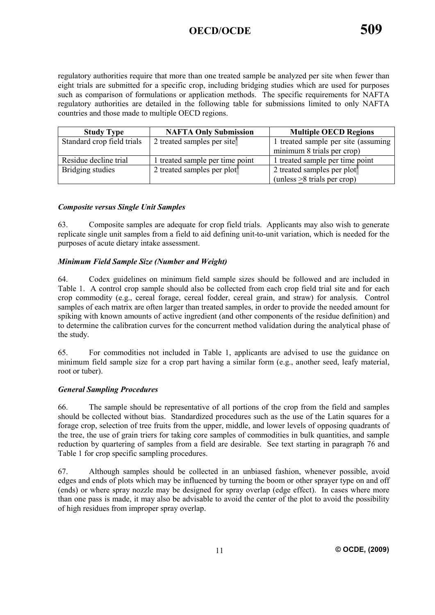regulatory authorities require that more than one treated sample be analyzed per site when fewer than eight trials are submitted for a specific crop, including bridging studies which are used for purposes such as comparison of formulations or application methods. The specific requirements for NAFTA regulatory authorities are detailed in the following table for submissions limited to only NAFTA countries and those made to multiple OECD regions.

| <b>Study Type</b>          | <b>NAFTA Only Submission</b>    | <b>Multiple OECD Regions</b>            |
|----------------------------|---------------------------------|-----------------------------------------|
| Standard crop field trials | 2 treated samples per site      | 1 treated sample per site (assuming)    |
|                            |                                 | minimum 8 trials per crop)              |
| Residue decline trial      | 1 treated sample per time point | 1 treated sample per time point         |
| Bridging studies           | 2 treated samples per plot      | 2 treated samples per plot <sup>1</sup> |
|                            |                                 | (unless $\geq$ 8 trials per crop)       |

## *Composite versus Single Unit Samples*

63. Composite samples are adequate for crop field trials. Applicants may also wish to generate replicate single unit samples from a field to aid defining unit-to-unit variation, which is needed for the purposes of acute dietary intake assessment.

## *Minimum Field Sample Size (Number and Weight)*

64. Codex guidelines on minimum field sample sizes should be followed and are included in Table 1. A control crop sample should also be collected from each crop field trial site and for each crop commodity (e.g., cereal forage, cereal fodder, cereal grain, and straw) for analysis. Control samples of each matrix are often larger than treated samples, in order to provide the needed amount for spiking with known amounts of active ingredient (and other components of the residue definition) and to determine the calibration curves for the concurrent method validation during the analytical phase of the study.

65. For commodities not included in Table 1, applicants are advised to use the guidance on minimum field sample size for a crop part having a similar form (e.g., another seed, leafy material, root or tuber).

## *General Sampling Procedures*

66. The sample should be representative of all portions of the crop from the field and samples should be collected without bias. Standardized procedures such as the use of the Latin squares for a forage crop, selection of tree fruits from the upper, middle, and lower levels of opposing quadrants of the tree, the use of grain triers for taking core samples of commodities in bulk quantities, and sample reduction by quartering of samples from a field are desirable. See text starting in paragraph 76 and Table 1 for crop specific sampling procedures.

67. Although samples should be collected in an unbiased fashion, whenever possible, avoid edges and ends of plots which may be influenced by turning the boom or other sprayer type on and off (ends) or where spray nozzle may be designed for spray overlap (edge effect). In cases where more than one pass is made, it may also be advisable to avoid the center of the plot to avoid the possibility of high residues from improper spray overlap.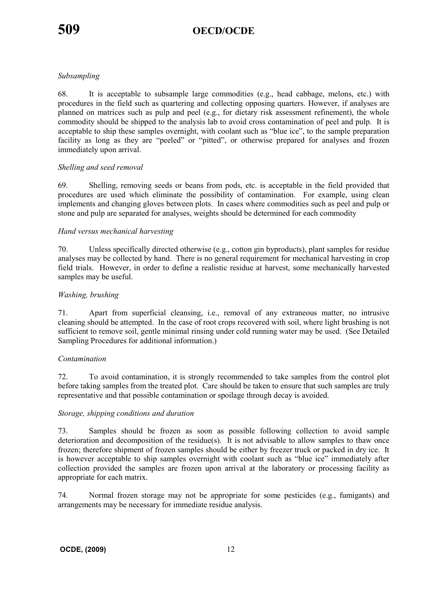## *Subsampling*

68. It is acceptable to subsample large commodities (e.g., head cabbage, melons, etc.) with procedures in the field such as quartering and collecting opposing quarters. However, if analyses are planned on matrices such as pulp and peel (e.g., for dietary risk assessment refinement), the whole commodity should be shipped to the analysis lab to avoid cross contamination of peel and pulp. It is acceptable to ship these samples overnight, with coolant such as "blue ice", to the sample preparation facility as long as they are "peeled" or "pitted", or otherwise prepared for analyses and frozen immediately upon arrival.

## *Shelling and seed removal*

69. Shelling, removing seeds or beans from pods, etc. is acceptable in the field provided that procedures are used which eliminate the possibility of contamination. For example, using clean implements and changing gloves between plots. In cases where commodities such as peel and pulp or stone and pulp are separated for analyses, weights should be determined for each commodity

## *Hand versus mechanical harvesting*

70. Unless specifically directed otherwise (e.g., cotton gin byproducts), plant samples for residue analyses may be collected by hand. There is no general requirement for mechanical harvesting in crop field trials. However, in order to define a realistic residue at harvest, some mechanically harvested samples may be useful.

## *Washing, brushing*

71. Apart from superficial cleansing, i.e., removal of any extraneous matter, no intrusive cleaning should be attempted. In the case of root crops recovered with soil, where light brushing is not sufficient to remove soil, gentle minimal rinsing under cold running water may be used. (See Detailed Sampling Procedures for additional information.)

## *Contamination*

72. To avoid contamination, it is strongly recommended to take samples from the control plot before taking samples from the treated plot. Care should be taken to ensure that such samples are truly representative and that possible contamination or spoilage through decay is avoided.

## *Storage, shipping conditions and duration*

73. Samples should be frozen as soon as possible following collection to avoid sample deterioration and decomposition of the residue(s). It is not advisable to allow samples to thaw once frozen; therefore shipment of frozen samples should be either by freezer truck or packed in dry ice. It is however acceptable to ship samples overnight with coolant such as "blue ice" immediately after collection provided the samples are frozen upon arrival at the laboratory or processing facility as appropriate for each matrix.

74. Normal frozen storage may not be appropriate for some pesticides (e.g., fumigants) and arrangements may be necessary for immediate residue analysis.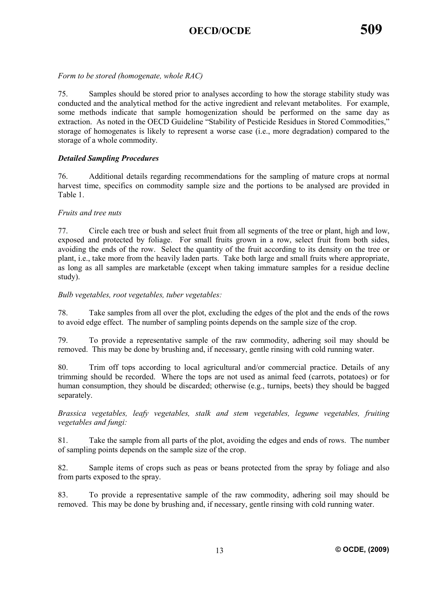## *Form to be stored (homogenate, whole RAC)*

75. Samples should be stored prior to analyses according to how the storage stability study was conducted and the analytical method for the active ingredient and relevant metabolites. For example, some methods indicate that sample homogenization should be performed on the same day as extraction. As noted in the OECD Guideline "Stability of Pesticide Residues in Stored Commodities," storage of homogenates is likely to represent a worse case (i.e., more degradation) compared to the storage of a whole commodity.

## *Detailed Sampling Procedures*

76. Additional details regarding recommendations for the sampling of mature crops at normal harvest time, specifics on commodity sample size and the portions to be analysed are provided in Table 1.

## *Fruits and tree nuts*

77. Circle each tree or bush and select fruit from all segments of the tree or plant, high and low, exposed and protected by foliage. For small fruits grown in a row, select fruit from both sides, avoiding the ends of the row. Select the quantity of the fruit according to its density on the tree or plant, i.e., take more from the heavily laden parts. Take both large and small fruits where appropriate, as long as all samples are marketable (except when taking immature samples for a residue decline study).

## *Bulb vegetables, root vegetables, tuber vegetables:*

78. Take samples from all over the plot, excluding the edges of the plot and the ends of the rows to avoid edge effect. The number of sampling points depends on the sample size of the crop.

79. To provide a representative sample of the raw commodity, adhering soil may should be removed. This may be done by brushing and, if necessary, gentle rinsing with cold running water.

80. Trim off tops according to local agricultural and/or commercial practice. Details of any trimming should be recorded. Where the tops are not used as animal feed (carrots, potatoes) or for human consumption, they should be discarded; otherwise (e.g., turnips, beets) they should be bagged separately.

*Brassica vegetables, leafy vegetables, stalk and stem vegetables, legume vegetables, fruiting vegetables and fungi:* 

81. Take the sample from all parts of the plot, avoiding the edges and ends of rows. The number of sampling points depends on the sample size of the crop.

82. Sample items of crops such as peas or beans protected from the spray by foliage and also from parts exposed to the spray.

83. To provide a representative sample of the raw commodity, adhering soil may should be removed. This may be done by brushing and, if necessary, gentle rinsing with cold running water.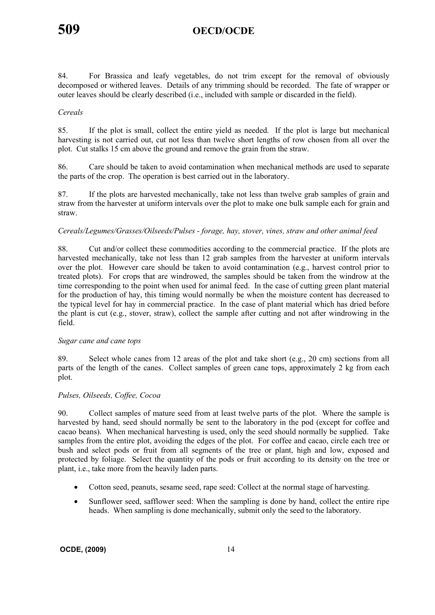84. For Brassica and leafy vegetables, do not trim except for the removal of obviously decomposed or withered leaves. Details of any trimming should be recorded. The fate of wrapper or outer leaves should be clearly described (i.e., included with sample or discarded in the field).

## *Cereals*

85. If the plot is small, collect the entire yield as needed. If the plot is large but mechanical harvesting is not carried out, cut not less than twelve short lengths of row chosen from all over the plot. Cut stalks 15 cm above the ground and remove the grain from the straw.

86. Care should be taken to avoid contamination when mechanical methods are used to separate the parts of the crop. The operation is best carried out in the laboratory.

87. If the plots are harvested mechanically, take not less than twelve grab samples of grain and straw from the harvester at uniform intervals over the plot to make one bulk sample each for grain and straw.

## *Cereals/Legumes/Grasses/Oilseeds/Pulses - forage, hay, stover, vines, straw and other animal feed*

88. Cut and/or collect these commodities according to the commercial practice. If the plots are harvested mechanically, take not less than 12 grab samples from the harvester at uniform intervals over the plot. However care should be taken to avoid contamination (e.g., harvest control prior to treated plots). For crops that are windrowed, the samples should be taken from the windrow at the time corresponding to the point when used for animal feed. In the case of cutting green plant material for the production of hay, this timing would normally be when the moisture content has decreased to the typical level for hay in commercial practice. In the case of plant material which has dried before the plant is cut (e.g., stover, straw), collect the sample after cutting and not after windrowing in the field.

## *Sugar cane and cane tops*

89. Select whole canes from 12 areas of the plot and take short  $(e.g., 20 cm)$  sections from all parts of the length of the canes. Collect samples of green cane tops, approximately 2 kg from each plot.

## *Pulses, Oilseeds, Coffee, Cocoa*

90. Collect samples of mature seed from at least twelve parts of the plot. Where the sample is harvested by hand, seed should normally be sent to the laboratory in the pod (except for coffee and cacao beans). When mechanical harvesting is used, only the seed should normally be supplied. Take samples from the entire plot, avoiding the edges of the plot. For coffee and cacao, circle each tree or bush and select pods or fruit from all segments of the tree or plant, high and low, exposed and protected by foliage. Select the quantity of the pods or fruit according to its density on the tree or plant, i.e., take more from the heavily laden parts.

- Cotton seed, peanuts, sesame seed, rape seed: Collect at the normal stage of harvesting.
- Sunflower seed, safflower seed: When the sampling is done by hand, collect the entire ripe heads. When sampling is done mechanically, submit only the seed to the laboratory.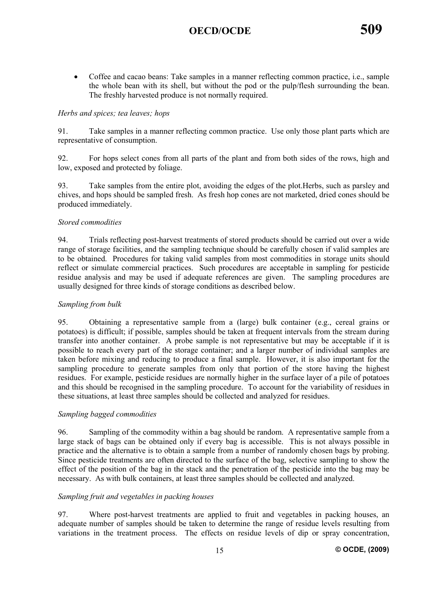• Coffee and cacao beans: Take samples in a manner reflecting common practice, i.e., sample the whole bean with its shell, but without the pod or the pulp/flesh surrounding the bean. The freshly harvested produce is not normally required.

## *Herbs and spices; tea leaves; hops*

91. Take samples in a manner reflecting common practice. Use only those plant parts which are representative of consumption.

92. For hops select cones from all parts of the plant and from both sides of the rows, high and low, exposed and protected by foliage.

93. Take samples from the entire plot, avoiding the edges of the plot.Herbs, such as parsley and chives, and hops should be sampled fresh. As fresh hop cones are not marketed, dried cones should be produced immediately.

## *Stored commodities*

94. Trials reflecting post-harvest treatments of stored products should be carried out over a wide range of storage facilities, and the sampling technique should be carefully chosen if valid samples are to be obtained. Procedures for taking valid samples from most commodities in storage units should reflect or simulate commercial practices. Such procedures are acceptable in sampling for pesticide residue analysis and may be used if adequate references are given. The sampling procedures are usually designed for three kinds of storage conditions as described below.

## *Sampling from bulk*

95. Obtaining a representative sample from a (large) bulk container (e.g., cereal grains or potatoes) is difficult; if possible, samples should be taken at frequent intervals from the stream during transfer into another container. A probe sample is not representative but may be acceptable if it is possible to reach every part of the storage container; and a larger number of individual samples are taken before mixing and reducing to produce a final sample. However, it is also important for the sampling procedure to generate samples from only that portion of the store having the highest residues. For example, pesticide residues are normally higher in the surface layer of a pile of potatoes and this should be recognised in the sampling procedure. To account for the variability of residues in these situations, at least three samples should be collected and analyzed for residues.

## *Sampling bagged commodities*

96. Sampling of the commodity within a bag should be random. A representative sample from a large stack of bags can be obtained only if every bag is accessible. This is not always possible in practice and the alternative is to obtain a sample from a number of randomly chosen bags by probing. Since pesticide treatments are often directed to the surface of the bag, selective sampling to show the effect of the position of the bag in the stack and the penetration of the pesticide into the bag may be necessary. As with bulk containers, at least three samples should be collected and analyzed.

## *Sampling fruit and vegetables in packing houses*

97. Where post-harvest treatments are applied to fruit and vegetables in packing houses, an adequate number of samples should be taken to determine the range of residue levels resulting from variations in the treatment process. The effects on residue levels of dip or spray concentration,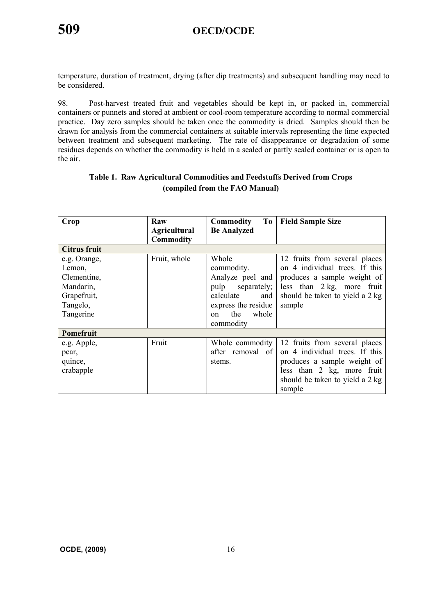temperature, duration of treatment, drying (after dip treatments) and subsequent handling may need to be considered.

98. Post-harvest treated fruit and vegetables should be kept in, or packed in, commercial containers or punnets and stored at ambient or cool-room temperature according to normal commercial practice. Day zero samples should be taken once the commodity is dried. Samples should then be drawn for analysis from the commercial containers at suitable intervals representing the time expected between treatment and subsequent marketing. The rate of disappearance or degradation of some residues depends on whether the commodity is held in a sealed or partly sealed container or is open to the air.

# **Table 1. Raw Agricultural Commodities and Feedstuffs Derived from Crops (compiled from the FAO Manual)**

| Crop                | Raw<br><b>Agricultural</b> | <b>Commodity</b><br>Tо<br><b>Be Analyzed</b> | <b>Field Sample Size</b>        |
|---------------------|----------------------------|----------------------------------------------|---------------------------------|
|                     | <b>Commodity</b>           |                                              |                                 |
| <b>Citrus fruit</b> |                            |                                              |                                 |
| e.g. Orange,        | Fruit, whole               | Whole                                        | 12 fruits from several places   |
| Lemon,              |                            | commodity.                                   | on 4 individual trees. If this  |
| Clementine,         |                            | Analyze peel and                             | produces a sample weight of     |
| Mandarin,           |                            | separately;<br>pulp                          | less than 2 kg, more fruit      |
| Grapefruit,         |                            | calculate<br>and                             | should be taken to yield a 2 kg |
| Tangelo,            |                            | express the residue                          | sample                          |
| Tangerine           |                            | the<br>whole<br>$\alpha$                     |                                 |
|                     |                            | commodity                                    |                                 |
| Pomefruit           |                            |                                              |                                 |
| e.g. Apple,         | Fruit                      | Whole commodity                              | 12 fruits from several places   |
| pear,               |                            | after removal of                             | on 4 individual trees. If this  |
| quince,             |                            | stems.                                       | produces a sample weight of     |
| crabapple           |                            |                                              | less than 2 kg, more fruit      |
|                     |                            |                                              | should be taken to yield a 2 kg |
|                     |                            |                                              | sample                          |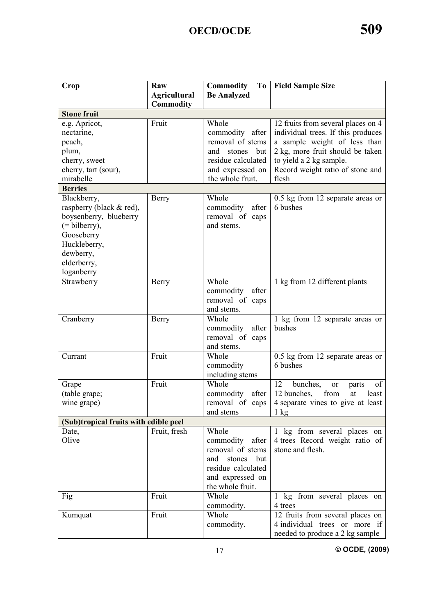| Crop                                  | Raw                 | Commodity<br>T <sub>0</sub> | <b>Field Sample Size</b>                     |
|---------------------------------------|---------------------|-----------------------------|----------------------------------------------|
|                                       | <b>Agricultural</b> | <b>Be Analyzed</b>          |                                              |
|                                       | <b>Commodity</b>    |                             |                                              |
| <b>Stone fruit</b>                    |                     |                             |                                              |
| e.g. Apricot,                         | Fruit               | Whole                       | 12 fruits from several places on 4           |
| nectarine,                            |                     | commodity after             | individual trees. If this produces           |
| peach,                                |                     | removal of stems            | a sample weight of less than                 |
| plum,                                 |                     | and<br>stones but           | 2 kg, more fruit should be taken             |
| cherry, sweet                         |                     | residue calculated          | to yield a 2 kg sample.                      |
| cherry, tart (sour),                  |                     | and expressed on            | Record weight ratio of stone and             |
| mirabelle                             |                     | the whole fruit.            | flesh                                        |
| <b>Berries</b>                        |                     |                             |                                              |
| Blackberry,                           | Berry               | Whole                       | 0.5 kg from 12 separate areas or             |
| raspberry (black & red),              |                     | commodity after             | 6 bushes                                     |
| boysenberry, blueberry                |                     | removal of caps             |                                              |
| $(= bilberry)$ ,                      |                     | and stems.                  |                                              |
| Gooseberry                            |                     |                             |                                              |
| Huckleberry,                          |                     |                             |                                              |
| dewberry,                             |                     |                             |                                              |
| elderberry,                           |                     |                             |                                              |
| loganberry                            |                     |                             |                                              |
| Strawberry                            | Berry               | Whole                       | 1 kg from 12 different plants                |
|                                       |                     | commodity after             |                                              |
|                                       |                     | removal of caps             |                                              |
|                                       |                     | and stems.                  |                                              |
| Cranberry                             | Berry               | Whole                       | 1 kg from 12 separate areas or               |
|                                       |                     | after<br>commodity          | bushes                                       |
|                                       |                     | removal of caps             |                                              |
|                                       |                     | and stems.                  |                                              |
| Currant                               | Fruit               | Whole                       |                                              |
|                                       |                     |                             | 0.5 kg from 12 separate areas or<br>6 bushes |
|                                       |                     | commodity                   |                                              |
|                                       |                     | including stems<br>Whole    |                                              |
| Grape                                 | Fruit               |                             | 12<br>bunches,<br>of<br>or<br>parts          |
| (table grape;                         |                     | commodity after             | 12 bunches,<br>from<br>at<br>least           |
| wine grape)                           |                     | removal of caps             | 4 separate vines to give at least            |
|                                       |                     | and stems                   | $1 \text{ kg}$                               |
| (Sub)tropical fruits with edible peel |                     |                             |                                              |
| Date,                                 | Fruit, fresh        | Whole                       | 1 kg from several places on                  |
| Olive                                 |                     | commodity after             | 4 trees Record weight ratio of               |
|                                       |                     | removal of stems            | stone and flesh.                             |
|                                       |                     | stones<br>but<br>and        |                                              |
|                                       |                     | residue calculated          |                                              |
|                                       |                     | and expressed on            |                                              |
|                                       |                     | the whole fruit.            |                                              |
| Fig                                   | Fruit               | Whole                       | 1 kg from several places on                  |
|                                       |                     | commodity.                  | 4 trees                                      |
| Kumquat                               | Fruit               | Whole                       | 12 fruits from several places on             |
|                                       |                     | commodity.                  | 4 individual trees or more if                |
|                                       |                     |                             | needed to produce a 2 kg sample              |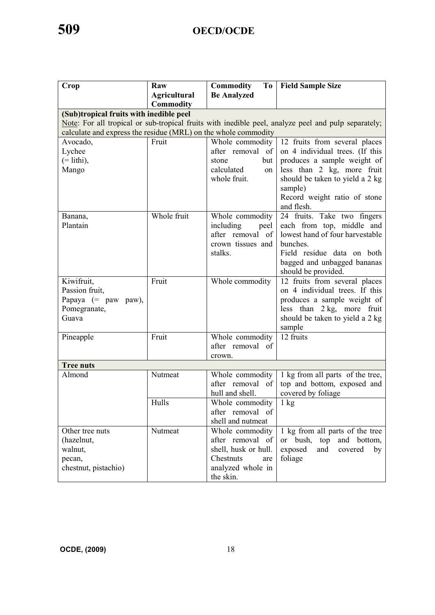| Crop                                                           | Raw                 | <b>Commodity</b><br>T <sub>0</sub> | <b>Field Sample Size</b>                                                                            |
|----------------------------------------------------------------|---------------------|------------------------------------|-----------------------------------------------------------------------------------------------------|
|                                                                | <b>Agricultural</b> | <b>Be Analyzed</b>                 |                                                                                                     |
|                                                                | Commodity           |                                    |                                                                                                     |
| (Sub)tropical fruits with inedible peel                        |                     |                                    |                                                                                                     |
|                                                                |                     |                                    | Note: For all tropical or sub-tropical fruits with inedible peel, analyze peel and pulp separately; |
| calculate and express the residue (MRL) on the whole commodity |                     |                                    |                                                                                                     |
| Avocado,                                                       | Fruit               | Whole commodity                    | 12 fruits from several places                                                                       |
| Lychee                                                         |                     | after removal of                   | on 4 individual trees. (If this                                                                     |
| $(=\text{lithi}),$                                             |                     | stone<br>but                       | produces a sample weight of                                                                         |
| Mango                                                          |                     | calculated<br>on                   | less than 2 kg, more fruit                                                                          |
|                                                                |                     | whole fruit.                       | should be taken to yield a 2 kg                                                                     |
|                                                                |                     |                                    | sample)                                                                                             |
|                                                                |                     |                                    | Record weight ratio of stone                                                                        |
|                                                                |                     |                                    | and flesh.                                                                                          |
| Banana,                                                        | Whole fruit         | Whole commodity                    | 24 fruits. Take two fingers                                                                         |
| Plantain                                                       |                     | including<br>peel                  | each from top, middle and                                                                           |
|                                                                |                     | after removal of                   | lowest hand of four harvestable                                                                     |
|                                                                |                     | crown tissues and                  | bunches.                                                                                            |
|                                                                |                     | stalks.                            | Field residue data on both                                                                          |
|                                                                |                     |                                    | bagged and unbagged bananas                                                                         |
| Kiwifruit,                                                     | Fruit               | Whole commodity                    | should be provided.<br>12 fruits from several places                                                |
| Passion fruit,                                                 |                     |                                    | on 4 individual trees. If this                                                                      |
| Papaya $(=$ paw paw),                                          |                     |                                    | produces a sample weight of                                                                         |
| Pomegranate,                                                   |                     |                                    | less than 2 kg, more<br>fruit                                                                       |
| Guava                                                          |                     |                                    | should be taken to yield a 2 kg                                                                     |
|                                                                |                     |                                    | sample                                                                                              |
| Pineapple                                                      | Fruit               | Whole commodity                    | 12 fruits                                                                                           |
|                                                                |                     | after removal of                   |                                                                                                     |
|                                                                |                     | crown.                             |                                                                                                     |
| <b>Tree nuts</b>                                               |                     |                                    |                                                                                                     |
| Almond                                                         | Nutmeat             | Whole commodity                    | 1 kg from all parts of the tree,                                                                    |
|                                                                |                     | after removal of                   | top and bottom, exposed and                                                                         |
|                                                                |                     | hull and shell.                    | covered by foliage                                                                                  |
|                                                                | Hulls               | Whole commodity                    | $1 \text{ kg}$                                                                                      |
|                                                                |                     | after removal of                   |                                                                                                     |
|                                                                |                     | shell and nutmeat                  |                                                                                                     |
| Other tree nuts                                                | Nutmeat             | Whole commodity                    | 1 kg from all parts of the tree                                                                     |
| (hazelnut,                                                     |                     | after removal of                   | or bush,<br>top<br>and bottom,                                                                      |
| walnut,                                                        |                     | shell, husk or hull.               | exposed<br>and<br>covered<br>by                                                                     |
| pecan,                                                         |                     | Chestnuts<br>are                   | foliage                                                                                             |
| chestnut, pistachio)                                           |                     | analyzed whole in                  |                                                                                                     |
|                                                                |                     | the skin.                          |                                                                                                     |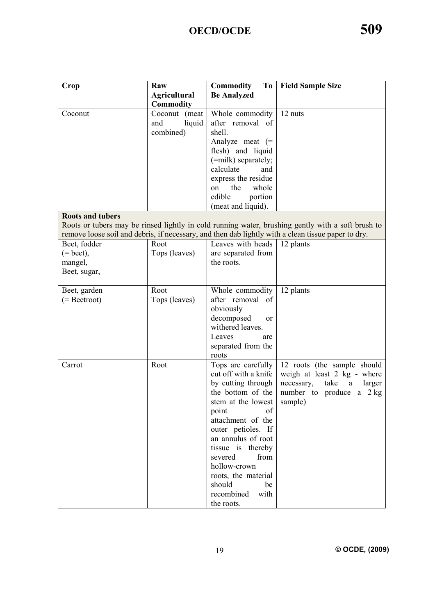|                                                                                                                                                            | <b>Field Sample Size</b>                                                                                                                                                                                                                                                                                                                                                                                                                                                                                                                                                                                                                                                                                                                                                                                                                                                                                                                                                                                        |
|------------------------------------------------------------------------------------------------------------------------------------------------------------|-----------------------------------------------------------------------------------------------------------------------------------------------------------------------------------------------------------------------------------------------------------------------------------------------------------------------------------------------------------------------------------------------------------------------------------------------------------------------------------------------------------------------------------------------------------------------------------------------------------------------------------------------------------------------------------------------------------------------------------------------------------------------------------------------------------------------------------------------------------------------------------------------------------------------------------------------------------------------------------------------------------------|
|                                                                                                                                                            |                                                                                                                                                                                                                                                                                                                                                                                                                                                                                                                                                                                                                                                                                                                                                                                                                                                                                                                                                                                                                 |
|                                                                                                                                                            |                                                                                                                                                                                                                                                                                                                                                                                                                                                                                                                                                                                                                                                                                                                                                                                                                                                                                                                                                                                                                 |
|                                                                                                                                                            | 12 nuts                                                                                                                                                                                                                                                                                                                                                                                                                                                                                                                                                                                                                                                                                                                                                                                                                                                                                                                                                                                                         |
|                                                                                                                                                            |                                                                                                                                                                                                                                                                                                                                                                                                                                                                                                                                                                                                                                                                                                                                                                                                                                                                                                                                                                                                                 |
|                                                                                                                                                            |                                                                                                                                                                                                                                                                                                                                                                                                                                                                                                                                                                                                                                                                                                                                                                                                                                                                                                                                                                                                                 |
|                                                                                                                                                            |                                                                                                                                                                                                                                                                                                                                                                                                                                                                                                                                                                                                                                                                                                                                                                                                                                                                                                                                                                                                                 |
|                                                                                                                                                            |                                                                                                                                                                                                                                                                                                                                                                                                                                                                                                                                                                                                                                                                                                                                                                                                                                                                                                                                                                                                                 |
|                                                                                                                                                            |                                                                                                                                                                                                                                                                                                                                                                                                                                                                                                                                                                                                                                                                                                                                                                                                                                                                                                                                                                                                                 |
|                                                                                                                                                            |                                                                                                                                                                                                                                                                                                                                                                                                                                                                                                                                                                                                                                                                                                                                                                                                                                                                                                                                                                                                                 |
|                                                                                                                                                            |                                                                                                                                                                                                                                                                                                                                                                                                                                                                                                                                                                                                                                                                                                                                                                                                                                                                                                                                                                                                                 |
|                                                                                                                                                            |                                                                                                                                                                                                                                                                                                                                                                                                                                                                                                                                                                                                                                                                                                                                                                                                                                                                                                                                                                                                                 |
|                                                                                                                                                            |                                                                                                                                                                                                                                                                                                                                                                                                                                                                                                                                                                                                                                                                                                                                                                                                                                                                                                                                                                                                                 |
|                                                                                                                                                            |                                                                                                                                                                                                                                                                                                                                                                                                                                                                                                                                                                                                                                                                                                                                                                                                                                                                                                                                                                                                                 |
|                                                                                                                                                            |                                                                                                                                                                                                                                                                                                                                                                                                                                                                                                                                                                                                                                                                                                                                                                                                                                                                                                                                                                                                                 |
|                                                                                                                                                            |                                                                                                                                                                                                                                                                                                                                                                                                                                                                                                                                                                                                                                                                                                                                                                                                                                                                                                                                                                                                                 |
|                                                                                                                                                            |                                                                                                                                                                                                                                                                                                                                                                                                                                                                                                                                                                                                                                                                                                                                                                                                                                                                                                                                                                                                                 |
|                                                                                                                                                            | 12 plants                                                                                                                                                                                                                                                                                                                                                                                                                                                                                                                                                                                                                                                                                                                                                                                                                                                                                                                                                                                                       |
|                                                                                                                                                            |                                                                                                                                                                                                                                                                                                                                                                                                                                                                                                                                                                                                                                                                                                                                                                                                                                                                                                                                                                                                                 |
|                                                                                                                                                            |                                                                                                                                                                                                                                                                                                                                                                                                                                                                                                                                                                                                                                                                                                                                                                                                                                                                                                                                                                                                                 |
|                                                                                                                                                            |                                                                                                                                                                                                                                                                                                                                                                                                                                                                                                                                                                                                                                                                                                                                                                                                                                                                                                                                                                                                                 |
|                                                                                                                                                            |                                                                                                                                                                                                                                                                                                                                                                                                                                                                                                                                                                                                                                                                                                                                                                                                                                                                                                                                                                                                                 |
|                                                                                                                                                            | 12 plants                                                                                                                                                                                                                                                                                                                                                                                                                                                                                                                                                                                                                                                                                                                                                                                                                                                                                                                                                                                                       |
|                                                                                                                                                            |                                                                                                                                                                                                                                                                                                                                                                                                                                                                                                                                                                                                                                                                                                                                                                                                                                                                                                                                                                                                                 |
|                                                                                                                                                            |                                                                                                                                                                                                                                                                                                                                                                                                                                                                                                                                                                                                                                                                                                                                                                                                                                                                                                                                                                                                                 |
|                                                                                                                                                            |                                                                                                                                                                                                                                                                                                                                                                                                                                                                                                                                                                                                                                                                                                                                                                                                                                                                                                                                                                                                                 |
|                                                                                                                                                            |                                                                                                                                                                                                                                                                                                                                                                                                                                                                                                                                                                                                                                                                                                                                                                                                                                                                                                                                                                                                                 |
|                                                                                                                                                            |                                                                                                                                                                                                                                                                                                                                                                                                                                                                                                                                                                                                                                                                                                                                                                                                                                                                                                                                                                                                                 |
|                                                                                                                                                            |                                                                                                                                                                                                                                                                                                                                                                                                                                                                                                                                                                                                                                                                                                                                                                                                                                                                                                                                                                                                                 |
|                                                                                                                                                            |                                                                                                                                                                                                                                                                                                                                                                                                                                                                                                                                                                                                                                                                                                                                                                                                                                                                                                                                                                                                                 |
|                                                                                                                                                            | 12 roots (the sample should                                                                                                                                                                                                                                                                                                                                                                                                                                                                                                                                                                                                                                                                                                                                                                                                                                                                                                                                                                                     |
|                                                                                                                                                            | weigh at least 2 kg - where                                                                                                                                                                                                                                                                                                                                                                                                                                                                                                                                                                                                                                                                                                                                                                                                                                                                                                                                                                                     |
|                                                                                                                                                            | necessary,<br>take<br>larger<br>$\mathbf{a}$                                                                                                                                                                                                                                                                                                                                                                                                                                                                                                                                                                                                                                                                                                                                                                                                                                                                                                                                                                    |
|                                                                                                                                                            | number to produce a<br>$2$ kg                                                                                                                                                                                                                                                                                                                                                                                                                                                                                                                                                                                                                                                                                                                                                                                                                                                                                                                                                                                   |
|                                                                                                                                                            | sample)                                                                                                                                                                                                                                                                                                                                                                                                                                                                                                                                                                                                                                                                                                                                                                                                                                                                                                                                                                                                         |
|                                                                                                                                                            |                                                                                                                                                                                                                                                                                                                                                                                                                                                                                                                                                                                                                                                                                                                                                                                                                                                                                                                                                                                                                 |
|                                                                                                                                                            |                                                                                                                                                                                                                                                                                                                                                                                                                                                                                                                                                                                                                                                                                                                                                                                                                                                                                                                                                                                                                 |
|                                                                                                                                                            |                                                                                                                                                                                                                                                                                                                                                                                                                                                                                                                                                                                                                                                                                                                                                                                                                                                                                                                                                                                                                 |
|                                                                                                                                                            |                                                                                                                                                                                                                                                                                                                                                                                                                                                                                                                                                                                                                                                                                                                                                                                                                                                                                                                                                                                                                 |
|                                                                                                                                                            |                                                                                                                                                                                                                                                                                                                                                                                                                                                                                                                                                                                                                                                                                                                                                                                                                                                                                                                                                                                                                 |
|                                                                                                                                                            |                                                                                                                                                                                                                                                                                                                                                                                                                                                                                                                                                                                                                                                                                                                                                                                                                                                                                                                                                                                                                 |
|                                                                                                                                                            |                                                                                                                                                                                                                                                                                                                                                                                                                                                                                                                                                                                                                                                                                                                                                                                                                                                                                                                                                                                                                 |
|                                                                                                                                                            |                                                                                                                                                                                                                                                                                                                                                                                                                                                                                                                                                                                                                                                                                                                                                                                                                                                                                                                                                                                                                 |
|                                                                                                                                                            |                                                                                                                                                                                                                                                                                                                                                                                                                                                                                                                                                                                                                                                                                                                                                                                                                                                                                                                                                                                                                 |
|                                                                                                                                                            |                                                                                                                                                                                                                                                                                                                                                                                                                                                                                                                                                                                                                                                                                                                                                                                                                                                                                                                                                                                                                 |
| recombined<br>with                                                                                                                                         |                                                                                                                                                                                                                                                                                                                                                                                                                                                                                                                                                                                                                                                                                                                                                                                                                                                                                                                                                                                                                 |
| Raw<br><b>Agricultural</b><br><b>Commodity</b><br>(meat<br>Coconut<br>liquid<br>and<br>combined)<br>Root<br>Tops (leaves)<br>Root<br>Tops (leaves)<br>Root | <b>Commodity</b><br>T <sub>0</sub><br><b>Be Analyzed</b><br>Whole commodity<br>after removal of<br>shell.<br>Analyze meat $(=$<br>flesh) and liquid<br>(=milk) separately;<br>calculate<br>and<br>express the residue<br>the<br>whole<br>on<br>edible<br>portion<br>(meat and liquid).<br>Roots or tubers may be rinsed lightly in cold running water, brushing gently with a soft brush to<br>remove loose soil and debris, if necessary, and then dab lightly with a clean tissue paper to dry.<br>Leaves with heads<br>are separated from<br>the roots.<br>Whole commodity<br>after removal of<br>obviously<br>decomposed<br><sub>or</sub><br>withered leaves.<br>Leaves<br>are<br>separated from the<br>roots<br>Tops are carefully<br>cut off with a knife<br>by cutting through<br>the bottom of the<br>stem at the lowest<br>point<br>of<br>attachment of the<br>outer petioles. If<br>an annulus of root<br>tissue is thereby<br>from<br>severed<br>hollow-crown<br>roots, the material<br>should<br>be |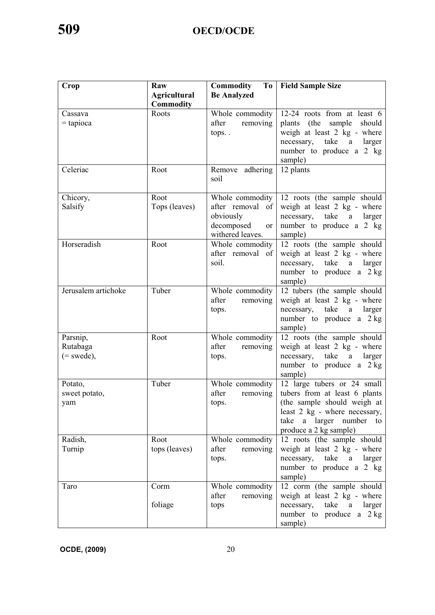| Crop                | Raw                 | To  <br>Commodity        | <b>Field Sample Size</b>          |
|---------------------|---------------------|--------------------------|-----------------------------------|
|                     | <b>Agricultural</b> | <b>Be Analyzed</b>       |                                   |
|                     | <b>Commodity</b>    |                          |                                   |
| Cassava             | Roots               | Whole commodity          | 12-24 roots from at least 6       |
| $=$ tapioca         |                     | after<br>removing        | plants (the sample<br>should      |
|                     |                     | tops                     | weigh at least 2 kg - where       |
|                     |                     |                          | necessary,<br>take<br>larger<br>a |
|                     |                     |                          | number to produce a 2 kg          |
|                     |                     |                          | sample)                           |
| Celeriac            | Root                | Remove adhering          | 12 plants                         |
|                     |                     | soil                     |                                   |
|                     |                     |                          |                                   |
| Chicory,            | Root                | Whole commodity          | 12 roots (the sample should       |
| Salsify             | Tops (leaves)       | after removal of         | weigh at least 2 kg - where       |
|                     |                     | obviously                | necessary,<br>take<br>a<br>larger |
|                     |                     | decomposed<br><b>or</b>  | number to produce a 2 kg          |
|                     |                     | withered leaves.         | sample)                           |
| Horseradish         | Root                | Whole commodity          | 12 roots (the sample should       |
|                     |                     | after removal of         | weigh at least 2 kg - where       |
|                     |                     | soil.                    | take<br>necessary,<br>a<br>larger |
|                     |                     |                          | number to produce a 2 kg          |
|                     |                     |                          | sample)                           |
| Jerusalem artichoke | Tuber               | Whole commodity          | 12 tubers (the sample should      |
|                     |                     | after<br>removing        | weigh at least 2 kg - where       |
|                     |                     | tops.                    | necessary,<br>take<br>larger<br>a |
|                     |                     |                          |                                   |
|                     |                     |                          | number to produce a 2 kg          |
|                     | Root                |                          | sample)                           |
| Parsnip,            |                     | Whole commodity<br>after | 12 roots (the sample should       |
| Rutabaga            |                     | removing                 | weigh at least 2 kg - where       |
| $(=$ swede),        |                     | tops.                    | necessary,<br>take<br>larger<br>a |
|                     |                     |                          | number to produce a 2 kg          |
|                     |                     |                          | sample)                           |
| Potato,             | Tuber               | Whole commodity          | 12 large tubers or 24 small       |
| sweet potato,       |                     | after<br>removing        | tubers from at least 6 plants     |
| yam                 |                     | tops.                    | (the sample should weigh at       |
|                     |                     |                          | least 2 kg - where necessary,     |
|                     |                     |                          | take<br>a larger number to        |
|                     |                     |                          | produce a 2 kg sample)            |
| Radish,             | Root                | Whole commodity          | 12 roots (the sample should       |
| Turnip              | tops (leaves)       | removing<br>after        | weigh at least 2 kg - where       |
|                     |                     | tops.                    | necessary,<br>take<br>a<br>larger |
|                     |                     |                          | number to produce a 2 kg          |
|                     |                     |                          | sample)                           |
| Taro                | Corm                | Whole commodity          | 12 corm (the sample should        |
|                     |                     | after<br>removing        | weigh at least 2 kg - where       |
|                     | foliage             | tops                     | take<br>necessary,<br>larger<br>a |
|                     |                     |                          | number to produce a 2 kg          |
|                     |                     |                          | sample)                           |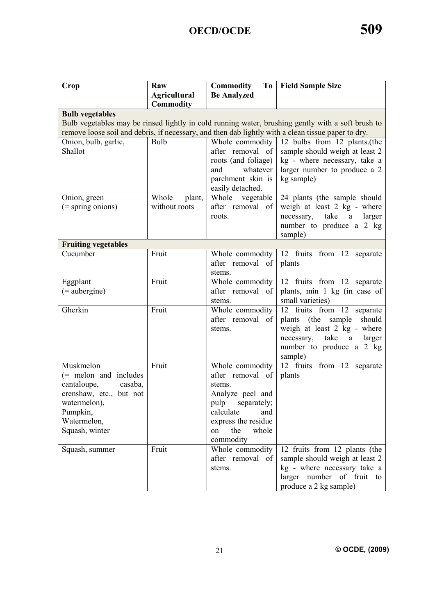| Crop                         | Raw                 | <b>Commodity</b>             | <b>To</b>   Field Sample Size                                                                      |
|------------------------------|---------------------|------------------------------|----------------------------------------------------------------------------------------------------|
|                              | <b>Agricultural</b> | <b>Be Analyzed</b>           |                                                                                                    |
| <b>Bulb vegetables</b>       | <b>Commodity</b>    |                              |                                                                                                    |
|                              |                     |                              | Bulb vegetables may be rinsed lightly in cold running water, brushing gently with a soft brush to  |
|                              |                     |                              | remove loose soil and debris, if necessary, and then dab lightly with a clean tissue paper to dry. |
| Onion, bulb, garlic,         | <b>Bulb</b>         | Whole commodity              | 12 bulbs from 12 plants.(the                                                                       |
| Shallot                      |                     | after removal of             | sample should weigh at least 2                                                                     |
|                              |                     | roots (and foliage)          | kg - where necessary, take a                                                                       |
|                              |                     | whatever<br>and              | larger number to produce a 2                                                                       |
|                              |                     | parchment skin is            | kg sample)                                                                                         |
|                              |                     | easily detached.             |                                                                                                    |
| Onion, green                 | Whole<br>plant,     | Whole vegetable              | 24 plants (the sample should                                                                       |
| $( = spring \text{ onions})$ | without roots       | after removal of             | weigh at least 2 kg - where                                                                        |
|                              |                     | roots.                       | necessary,<br>take<br>a<br>larger                                                                  |
|                              |                     |                              | number to produce a 2 kg<br>sample)                                                                |
| <b>Fruiting vegetables</b>   |                     |                              |                                                                                                    |
| Cucumber                     | Fruit               | Whole commodity              | 12 fruits from 12 separate                                                                         |
|                              |                     | after removal of             | plants                                                                                             |
|                              |                     | stems.                       |                                                                                                    |
| Eggplant                     | Fruit               | Whole commodity              | 12 fruits from 12 separate                                                                         |
| $(= auberging)$              |                     | after removal of             | plants, min 1 kg (in case of                                                                       |
|                              |                     | stems.                       | small varieties)                                                                                   |
| Gherkin                      | Fruit               | Whole commodity              | 12<br>12 fruits from<br>separate                                                                   |
|                              |                     | after removal of             | plants (the sample should                                                                          |
|                              |                     | stems.                       | weigh at least 2 kg - where                                                                        |
|                              |                     |                              | take<br>necessary,<br>larger<br>a<br>number to produce a 2 kg                                      |
|                              |                     |                              | sample)                                                                                            |
| Muskmelon                    | Fruit               | Whole commodity              | 12 fruits from 12<br>separate                                                                      |
| (= melon and includes        |                     | after removal of             | plants                                                                                             |
| cantaloupe,<br>casaba,       |                     | stems.                       |                                                                                                    |
| crenshaw, etc., but not      |                     | Analyze peel and             |                                                                                                    |
| watermelon),                 |                     | pulp<br>separately;          |                                                                                                    |
| Pumpkin,                     |                     | calculate<br>and             |                                                                                                    |
| Watermelon,                  |                     | express the residue          |                                                                                                    |
| Squash, winter               |                     | whole<br>the<br>on           |                                                                                                    |
|                              | Fruit               | commodity<br>Whole commodity | 12 fruits from 12 plants (the                                                                      |
| Squash, summer               |                     | after removal of             | sample should weigh at least 2                                                                     |
|                              |                     | stems.                       | kg - where necessary take a                                                                        |
|                              |                     |                              | larger number of fruit to                                                                          |
|                              |                     |                              | produce a 2 kg sample)                                                                             |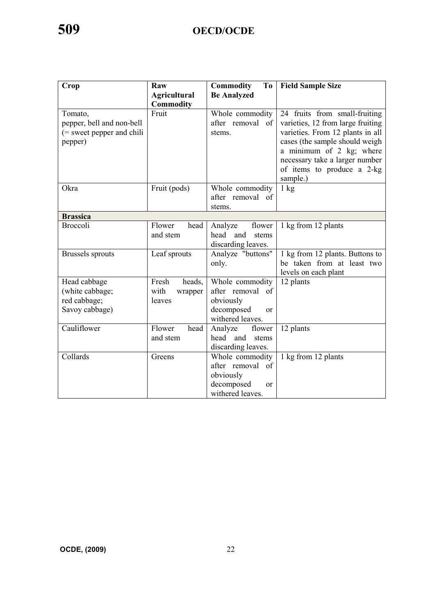| Crop                         | Raw                 | Commodity<br>T <sub>o</sub>            | <b>Field Sample Size</b>          |
|------------------------------|---------------------|----------------------------------------|-----------------------------------|
|                              | <b>Agricultural</b> | <b>Be Analyzed</b>                     |                                   |
|                              | Commodity           |                                        |                                   |
| Tomato,                      | Fruit               | Whole commodity                        | 24 fruits from small-fruiting     |
| pepper, bell and non-bell    |                     | after removal of                       | varieties, 12 from large fruiting |
| $($ = sweet pepper and chili |                     | stems.                                 | varieties. From 12 plants in all  |
| pepper)                      |                     |                                        | cases (the sample should weigh    |
|                              |                     |                                        | a minimum of 2 kg; where          |
|                              |                     |                                        | necessary take a larger number    |
|                              |                     |                                        | of items to produce a 2-kg        |
|                              |                     |                                        | sample.)                          |
| Okra                         | Fruit (pods)        | Whole commodity<br>after removal of    | $1 \text{ kg}$                    |
|                              |                     | stems.                                 |                                   |
| <b>Brassica</b>              |                     |                                        |                                   |
| <b>Broccoli</b>              | Flower<br>head      | Analyze<br>flower                      | 1 kg from 12 plants               |
|                              | and stem            | head<br>and<br>stems                   |                                   |
|                              |                     | discarding leaves.                     |                                   |
| <b>Brussels</b> sprouts      | Leaf sprouts        | Analyze "buttons"                      | 1 kg from 12 plants. Buttons to   |
|                              |                     | only.                                  | be taken from at least two        |
|                              |                     |                                        | levels on each plant              |
| Head cabbage                 | heads,<br>Fresh     | Whole commodity                        | 12 plants                         |
| (white cabbage;              | with<br>wrapper     | after removal of                       |                                   |
| red cabbage;                 | leaves              | obviously                              |                                   |
| Savoy cabbage)               |                     | decomposed<br><b>or</b>                |                                   |
| Cauliflower                  | Flower<br>head      | withered leaves.                       |                                   |
|                              | and stem            | Analyze<br>flower<br>head and<br>stems | 12 plants                         |
|                              |                     | discarding leaves.                     |                                   |
| Collards                     | Greens              | Whole commodity                        | 1 kg from 12 plants               |
|                              |                     | after removal of                       |                                   |
|                              |                     | obviously                              |                                   |
|                              |                     | decomposed<br>or                       |                                   |
|                              |                     | withered leaves.                       |                                   |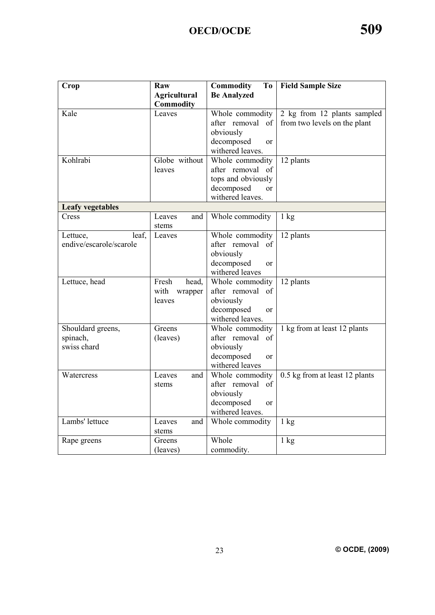| Crop                                         | Raw<br><b>Agricultural</b>                  | <b>Commodity</b><br>T <sub>o</sub><br><b>Be Analyzed</b>                                                     | <b>Field Sample Size</b>                                    |  |
|----------------------------------------------|---------------------------------------------|--------------------------------------------------------------------------------------------------------------|-------------------------------------------------------------|--|
|                                              | <b>Commodity</b>                            |                                                                                                              |                                                             |  |
| Kale                                         | Leaves                                      | Whole commodity<br>after removal<br>of<br>obviously<br>decomposed<br>or<br>withered leaves.                  | 2 kg from 12 plants sampled<br>from two levels on the plant |  |
| Kohlrabi                                     | Globe without<br>leaves                     | Whole commodity<br>after removal of<br>tops and obviously<br>decomposed<br><sub>or</sub><br>withered leaves. | 12 plants                                                   |  |
| <b>Leafy vegetables</b>                      |                                             |                                                                                                              |                                                             |  |
| Cress                                        | and<br>Leaves<br>stems                      | Whole commodity                                                                                              | $1 \text{ kg}$                                              |  |
| leaf,<br>Lettuce,<br>endive/escarole/scarole | Leaves                                      | Whole commodity<br>after removal of                                                                          | $12$ plants                                                 |  |
|                                              |                                             | obviously<br>decomposed<br>or<br>withered leaves                                                             |                                                             |  |
| Lettuce, head                                | Fresh<br>head,<br>with<br>wrapper<br>leaves | Whole commodity<br>after removal<br>of<br>obviously<br>decomposed<br><sub>or</sub><br>withered leaves.       | 12 plants                                                   |  |
| Shouldard greens,                            | Greens                                      | Whole commodity                                                                                              | 1 kg from at least 12 plants                                |  |
| spinach,                                     | (leaves)                                    | after removal<br>of                                                                                          |                                                             |  |
| swiss chard                                  |                                             | obviously<br>decomposed<br>or<br>withered leaves                                                             |                                                             |  |
| Watercress                                   | Leaves<br>and<br>stems                      | Whole commodity<br>after removal<br>of<br>obviously<br>decomposed<br>or<br>withered leaves.                  | 0.5 kg from at least 12 plants                              |  |
| Lambs' lettuce                               | Leaves<br>and<br>stems                      | Whole commodity                                                                                              | $1 \text{ kg}$                                              |  |
| Rape greens                                  | Greens<br>(leaves)                          | Whole<br>commodity.                                                                                          | $1 \text{ kg}$                                              |  |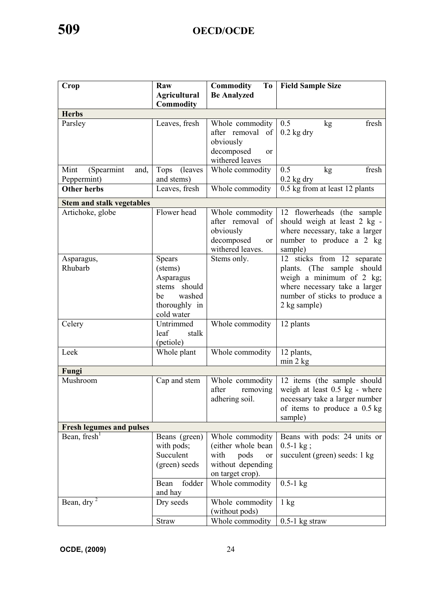| Crop                             | Raw                 | <b>Commodity</b><br>T <sub>0</sub> | <b>Field Sample Size</b>                                       |
|----------------------------------|---------------------|------------------------------------|----------------------------------------------------------------|
|                                  | <b>Agricultural</b> | <b>Be Analyzed</b>                 |                                                                |
|                                  | <b>Commodity</b>    |                                    |                                                                |
| <b>Herbs</b>                     |                     |                                    |                                                                |
| Parsley                          | Leaves, fresh       | Whole commodity                    | 0.5<br>fresh<br>kg                                             |
|                                  |                     | after removal of                   | $0.2$ kg dry                                                   |
|                                  |                     | obviously                          |                                                                |
|                                  |                     | decomposed<br><sub>or</sub>        |                                                                |
|                                  |                     | withered leaves                    |                                                                |
| Mint<br>(Spearmint<br>and,       | Tops<br>(leaves     | Whole commodity                    | 0.5<br>fresh<br>kg                                             |
| Peppermint)                      | and stems)          |                                    | $0.2$ kg dry                                                   |
| <b>Other herbs</b>               | Leaves, fresh       | Whole commodity                    | 0.5 kg from at least 12 plants                                 |
| <b>Stem and stalk vegetables</b> |                     |                                    |                                                                |
| Artichoke, globe                 | Flower head         | Whole commodity                    | 12 flowerheads (the sample                                     |
|                                  |                     | after removal of                   | should weigh at least 2 kg -                                   |
|                                  |                     | obviously                          | where necessary, take a larger                                 |
|                                  |                     | decomposed<br><b>or</b>            | number to produce a 2 kg                                       |
|                                  |                     | withered leaves.                   | sample)                                                        |
| Asparagus,                       | <b>Spears</b>       | Stems only.                        | $\overline{12}$ sticks from 12 separate                        |
| Rhubarb                          | (stems)             |                                    | plants. (The sample should                                     |
|                                  | Asparagus           |                                    | weigh a minimum of 2 kg;                                       |
|                                  | should<br>stems     |                                    | where necessary take a larger                                  |
|                                  | washed<br>be        |                                    | number of sticks to produce a                                  |
|                                  | thoroughly in       |                                    | 2 kg sample)                                                   |
|                                  | cold water          |                                    |                                                                |
| Celery                           | Untrimmed           | Whole commodity                    | 12 plants                                                      |
|                                  | leaf<br>stalk       |                                    |                                                                |
|                                  | (petiole)           |                                    |                                                                |
| Leek                             | Whole plant         | Whole commodity                    | 12 plants,                                                     |
|                                  |                     |                                    | min 2 kg                                                       |
| Fungi                            |                     |                                    |                                                                |
| Mushroom                         | Cap and stem        | Whole commodity                    | 12 items (the sample should                                    |
|                                  |                     | after<br>removing                  | weigh at least 0.5 kg - where                                  |
|                                  |                     | adhering soil.                     | necessary take a larger number<br>of items to produce a 0.5 kg |
|                                  |                     |                                    | sample)                                                        |
| <b>Fresh legumes and pulses</b>  |                     |                                    |                                                                |
| Bean, fresh <sup>1</sup>         | Beans (green)       | Whole commodity                    | Beans with pods: 24 units or                                   |
|                                  | with pods;          | (either whole bean                 | $0.5-1$ kg;                                                    |
|                                  | Succulent           | with<br>pods<br>or                 | succulent (green) seeds: 1 kg                                  |
|                                  | (green) seeds       | without depending                  |                                                                |
|                                  |                     | on target crop).                   |                                                                |
|                                  | fodder<br>Bean      | Whole commodity                    | $0.5 - 1 \text{ kg}$                                           |
|                                  | and hay             |                                    |                                                                |
| Bean, dry <sup>2</sup>           | Dry seeds           | Whole commodity                    | $1 \text{ kg}$                                                 |
|                                  |                     | (without pods)                     |                                                                |
|                                  | Straw               | Whole commodity                    | $0.5-1$ kg straw                                               |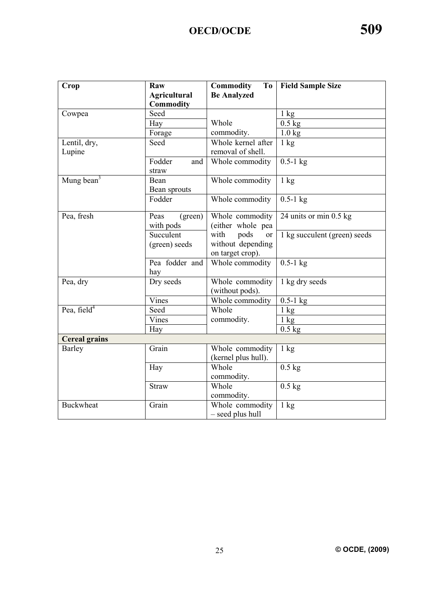**Crop Raw** 

**Agricultural** 

| <b>Commodity</b><br><b>Be Analyzed</b> | To | <b>Field Sample Size</b>                    |
|----------------------------------------|----|---------------------------------------------|
| Whole<br>commodity.                    |    | $1 \text{ kg}$<br>$\overline{0.5}$ kg<br>kσ |

|                           | Commodity                    |                                                                    |                              |  |
|---------------------------|------------------------------|--------------------------------------------------------------------|------------------------------|--|
| Cowpea                    | Seed                         |                                                                    | $1 \text{ kg}$               |  |
|                           | Hay                          | Whole                                                              | $0.5$ kg                     |  |
|                           | Forage                       | commodity.                                                         | $1.0$ kg                     |  |
| Lentil, dry,<br>Lupine    | Seed                         | Whole kernel after<br>removal of shell.                            | $1 \text{ kg}$               |  |
|                           | Fodder<br>and<br>straw       | Whole commodity                                                    | $0.5 - 1$ kg                 |  |
| Mung bean $3$             | Bean<br>Bean sprouts         | Whole commodity                                                    | $1 \text{ kg}$               |  |
|                           | Fodder                       | Whole commodity                                                    | $0.5-1$ kg                   |  |
| Pea, fresh                | Peas<br>(green)<br>with pods | Whole commodity<br>(either whole pea                               | 24 units or min 0.5 kg       |  |
|                           | Succulent<br>(green) seeds   | pods<br>with<br><b>or</b><br>without depending<br>on target crop). | 1 kg succulent (green) seeds |  |
|                           | Pea fodder and<br>hay        | Whole commodity                                                    | $0.5 - 1$ kg                 |  |
| Pea, dry                  | Dry seeds                    | Whole commodity<br>(without pods).                                 | 1 kg dry seeds               |  |
|                           | Vines                        | Whole commodity                                                    | $0.5-1$ kg                   |  |
| Pea, field $4$            | Seed                         | Whole                                                              | $1 \text{ kg}$               |  |
|                           | Vines                        | commodity.                                                         | $1 \text{ kg}$               |  |
|                           | Hay                          |                                                                    | $0.5$ kg                     |  |
| <b>Cereal grains</b>      |                              |                                                                    |                              |  |
| <b>Barley</b>             | Grain                        | Whole commodity<br>(kernel plus hull).                             | $1 \text{ kg}$               |  |
|                           | Hay                          | Whole<br>commodity.                                                | $0.5$ kg                     |  |
|                           | <b>Straw</b>                 | Whole<br>commodity.                                                | $0.5$ kg                     |  |
| <b>Buckwheat</b><br>Grain |                              | Whole commodity<br>- seed plus hull                                | $1 \text{ kg}$               |  |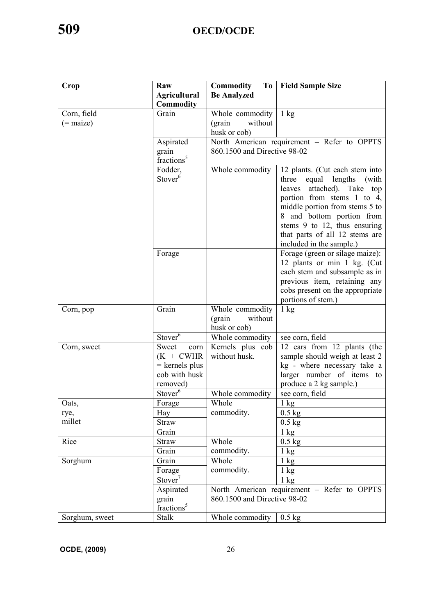| Crop           | Raw                    | Commodity<br>T <sub>0</sub>                 | <b>Field Sample Size</b>                                      |  |
|----------------|------------------------|---------------------------------------------|---------------------------------------------------------------|--|
|                | <b>Agricultural</b>    | <b>Be Analyzed</b>                          |                                                               |  |
|                | <b>Commodity</b>       |                                             |                                                               |  |
| Corn, field    | Grain                  | Whole commodity                             | $1 \text{ kg}$                                                |  |
| $(=$ maize)    |                        | (grain)<br>without                          |                                                               |  |
|                |                        | husk or cob)                                |                                                               |  |
|                | Aspirated              |                                             | North American requirement - Refer to OPPTS                   |  |
|                | grain                  | 860.1500 and Directive 98-02                |                                                               |  |
|                | fractions <sup>5</sup> |                                             |                                                               |  |
|                | Fodder,                | Whole commodity                             | 12 plants. (Cut each stem into                                |  |
|                | Stover <sup>6</sup>    |                                             | three<br>equal<br>lengths<br>(with                            |  |
|                |                        |                                             | leaves attached). Take top                                    |  |
|                |                        |                                             | portion from stems 1 to 4,                                    |  |
|                |                        |                                             | middle portion from stems 5 to                                |  |
|                |                        |                                             | 8 and bottom portion from                                     |  |
|                |                        |                                             | stems 9 to 12, thus ensuring                                  |  |
|                |                        |                                             | that parts of all 12 stems are                                |  |
|                |                        |                                             | included in the sample.)                                      |  |
|                | Forage                 |                                             | Forage (green or silage maize):                               |  |
|                |                        |                                             | 12 plants or min 1 kg. (Cut                                   |  |
|                |                        |                                             | each stem and subsample as in<br>previous item, retaining any |  |
|                |                        |                                             | cobs present on the appropriate                               |  |
|                |                        |                                             | portions of stem.)                                            |  |
| Corn, pop      | Grain                  | Whole commodity                             | $1 \text{ kg}$                                                |  |
|                |                        | (grain)<br>without                          |                                                               |  |
|                |                        | husk or cob)                                |                                                               |  |
|                | Stover <sup>6</sup>    | Whole commodity                             | see corn, field                                               |  |
| Corn, sweet    | Sweet<br>corn          | Kernels plus cob                            | 12 ears from 12 plants (the                                   |  |
|                | $(K + CWHR)$           | without husk.                               | sample should weigh at least 2                                |  |
|                | $=$ kernels plus       |                                             | kg - where necessary take a                                   |  |
|                | cob with husk          |                                             | larger number of items to                                     |  |
|                | removed)               |                                             | produce a 2 kg sample.)                                       |  |
|                | Stover $\overline{6}$  | Whole commodity                             | see corn, field                                               |  |
| Oats,          | Forage                 | Whole                                       | 1 kg                                                          |  |
| rye,           | Hay                    | commodity.                                  | $0.5$ kg                                                      |  |
| millet         | <b>Straw</b>           |                                             | $0.5$ kg                                                      |  |
|                | Grain                  |                                             | $1 \text{ kg}$                                                |  |
| Rice           | <b>Straw</b>           | Whole                                       | $0.5$ kg                                                      |  |
|                | Grain                  | commodity.                                  | $1 \text{ kg}$                                                |  |
| Sorghum        | Grain                  | Whole                                       | $1 \text{ kg}$                                                |  |
|                | Forage                 | commodity.                                  | $1 \text{ kg}$                                                |  |
|                | Stover <sup>7</sup>    |                                             | $1 \text{ kg}$                                                |  |
|                | Aspirated              | North American requirement - Refer to OPPTS |                                                               |  |
|                | grain                  | 860.1500 and Directive 98-02                |                                                               |  |
|                | fractions <sup>5</sup> |                                             |                                                               |  |
| Sorghum, sweet | <b>Stalk</b>           | Whole commodity                             | $0.5$ kg                                                      |  |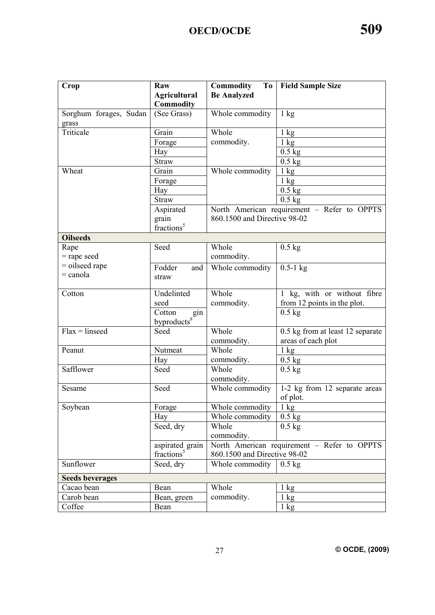| ×<br>۰. |
|---------|
|---------|

| Crop                   | Raw                     | Commodity<br>T <sub>0</sub>  | <b>Field Sample Size</b>                    |  |  |
|------------------------|-------------------------|------------------------------|---------------------------------------------|--|--|
|                        | <b>Agricultural</b>     | <b>Be Analyzed</b>           |                                             |  |  |
|                        | Commodity               |                              |                                             |  |  |
| Sorghum forages, Sudan | (See Grass)             | Whole commodity              | $1 \text{ kg}$                              |  |  |
| grass                  |                         |                              |                                             |  |  |
| Triticale              | Grain                   | Whole                        | $1 \text{ kg}$                              |  |  |
|                        | Forage                  | commodity.                   | $1 \text{ kg}$                              |  |  |
|                        | Hay                     |                              | $0.5$ kg                                    |  |  |
|                        | <b>Straw</b>            |                              | $0.5$ kg                                    |  |  |
| Wheat                  | Grain                   | Whole commodity              | $1 \text{ kg}$                              |  |  |
|                        | Forage                  |                              | $1 \text{ kg}$                              |  |  |
|                        | Hay                     |                              | $0.5$ kg                                    |  |  |
|                        | <b>Straw</b>            |                              | $\overline{0.5}$ kg                         |  |  |
|                        | Aspirated               |                              | North American requirement - Refer to OPPTS |  |  |
|                        | grain                   | 860.1500 and Directive 98-02 |                                             |  |  |
|                        | fractions <sup>5</sup>  |                              |                                             |  |  |
| <b>Oilseeds</b>        |                         |                              |                                             |  |  |
| Rape                   | Seed                    | Whole                        | $0.5$ kg                                    |  |  |
| = rape seed            |                         | commodity.                   |                                             |  |  |
| = oilseed rape         | Fodder<br>and           | Whole commodity              | $0.5-1$ kg                                  |  |  |
| $=$ canola             | straw                   |                              |                                             |  |  |
|                        |                         |                              |                                             |  |  |
| Cotton                 | Undelinted              | Whole                        | 1 kg, with or without fibre                 |  |  |
|                        | seed                    | commodity.                   | from 12 points in the plot.                 |  |  |
|                        | Cotton<br>gin           |                              | $0.5$ kg                                    |  |  |
|                        | byproducts <sup>8</sup> |                              |                                             |  |  |
| $Flax = linesed$       | Seed                    | Whole                        | 0.5 kg from at least 12 separate            |  |  |
|                        |                         | commodity.                   | areas of each plot                          |  |  |
| Peanut                 | Nutmeat                 | Whole                        | 1 kg                                        |  |  |
|                        | Hay                     | commodity.                   | $0.5$ kg                                    |  |  |
| Safflower              | Seed                    | Whole                        | $0.5$ kg                                    |  |  |
|                        |                         | commodity.                   |                                             |  |  |
| Sesame                 | Seed                    | Whole commodity              | 1-2 kg from 12 separate areas               |  |  |
|                        |                         |                              | of plot.                                    |  |  |
| Soybean                | Forage                  | Whole commodity              | $1 \underline{\text{kg}}$                   |  |  |
|                        | Hay                     | Whole commodity              | $0.5$ kg                                    |  |  |
|                        | Seed, dry               | Whole                        | $0.5$ kg                                    |  |  |
|                        |                         | commodity.                   |                                             |  |  |
|                        | aspirated grain         |                              | North American requirement - Refer to OPPTS |  |  |
|                        | fractions <sup>5</sup>  | 860.1500 and Directive 98-02 |                                             |  |  |
| Sunflower              | Seed, dry               | Whole commodity              | $0.5$ kg                                    |  |  |
| <b>Seeds beverages</b> |                         |                              |                                             |  |  |
| Cacao bean             | Bean                    | Whole                        | $1 \text{ kg}$                              |  |  |
| Carob bean             | Bean, green             | commodity.                   | $1 \text{ kg}$                              |  |  |
| Coffee                 | Bean                    |                              | $1 \text{ kg}$                              |  |  |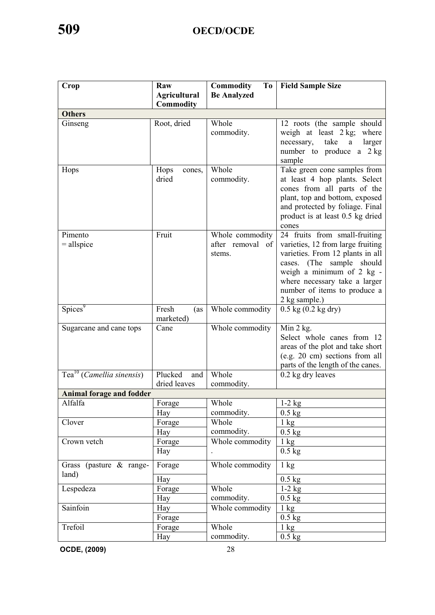| Crop                                             | Raw                 | T <sub>o</sub><br><b>Commodity</b> | <b>Field Sample Size</b>                                           |  |  |  |  |
|--------------------------------------------------|---------------------|------------------------------------|--------------------------------------------------------------------|--|--|--|--|
|                                                  | <b>Agricultural</b> | <b>Be Analyzed</b>                 |                                                                    |  |  |  |  |
|                                                  | <b>Commodity</b>    |                                    |                                                                    |  |  |  |  |
| <b>Others</b>                                    |                     |                                    |                                                                    |  |  |  |  |
| Ginseng                                          | Root, dried         | Whole                              | 12 roots (the sample should                                        |  |  |  |  |
|                                                  |                     | commodity.                         | weigh at least $2 \text{ kg}$ ;<br>where                           |  |  |  |  |
|                                                  |                     |                                    | necessary,<br>take<br>larger<br>a                                  |  |  |  |  |
|                                                  |                     |                                    | number to produce<br>a $2 \text{ kg}$                              |  |  |  |  |
|                                                  |                     |                                    | sample                                                             |  |  |  |  |
| Hops                                             | Hops<br>cones,      | Whole                              | Take green cone samples from                                       |  |  |  |  |
|                                                  | dried               | commodity.                         | at least 4 hop plants. Select                                      |  |  |  |  |
|                                                  |                     |                                    | cones from all parts of the                                        |  |  |  |  |
|                                                  |                     |                                    | plant, top and bottom, exposed                                     |  |  |  |  |
|                                                  |                     |                                    | and protected by foliage. Final                                    |  |  |  |  |
|                                                  |                     |                                    | product is at least 0.5 kg dried                                   |  |  |  |  |
|                                                  |                     |                                    | cones                                                              |  |  |  |  |
| Pimento                                          | Fruit               | Whole commodity                    | 24 fruits from small-fruiting                                      |  |  |  |  |
| $=$ allspice                                     |                     | after removal of                   | varieties, 12 from large fruiting                                  |  |  |  |  |
|                                                  |                     | stems.                             | varieties. From 12 plants in all                                   |  |  |  |  |
|                                                  |                     |                                    | cases. (The sample should                                          |  |  |  |  |
|                                                  |                     |                                    | weigh a minimum of 2 kg -                                          |  |  |  |  |
|                                                  |                     |                                    | where necessary take a larger                                      |  |  |  |  |
|                                                  |                     |                                    | number of items to produce a                                       |  |  |  |  |
|                                                  |                     |                                    | 2 kg sample.)                                                      |  |  |  |  |
| Spices <sup>9</sup>                              | Fresh<br>(as        | Whole commodity                    | $0.5$ kg $(0.2$ kg dry)                                            |  |  |  |  |
|                                                  | marketed)           |                                    |                                                                    |  |  |  |  |
| Sugarcane and cane tops                          | Cane                | Whole commodity                    | Min $2$ kg.                                                        |  |  |  |  |
|                                                  |                     |                                    | Select whole canes from 12                                         |  |  |  |  |
|                                                  |                     |                                    | areas of the plot and take short<br>(e.g. 20 cm) sections from all |  |  |  |  |
|                                                  |                     |                                    | parts of the length of the canes.                                  |  |  |  |  |
| $\overline{\text{Tea}^{10}}$ (Camellia sinensis) | Plucked<br>and      | Whole                              | $\overline{0.2}$ kg dry leaves                                     |  |  |  |  |
|                                                  | dried leaves        | commodity.                         |                                                                    |  |  |  |  |
| <b>Animal forage and fodder</b>                  |                     |                                    |                                                                    |  |  |  |  |
| Alfalfa                                          | Forage              | Whole                              | $1-2$ kg                                                           |  |  |  |  |
|                                                  | Hay                 | commodity.                         | $0.5$ kg                                                           |  |  |  |  |
| Clover                                           | Forage              | Whole                              | $1 \text{ kg}$                                                     |  |  |  |  |
|                                                  | Hay                 | commodity.                         | $0.5$ kg                                                           |  |  |  |  |
| Crown vetch                                      | Forage              | Whole commodity                    | $1 \text{ kg}$                                                     |  |  |  |  |
|                                                  | Hay                 |                                    | $0.5$ kg                                                           |  |  |  |  |
| Grass (pasture $\&$ range-                       | Forage              | Whole commodity                    | $1 \text{ kg}$                                                     |  |  |  |  |
| land)                                            | Hay                 |                                    | $0.5$ kg                                                           |  |  |  |  |
| Lespedeza                                        | Forage              | Whole                              | $1-2$ kg                                                           |  |  |  |  |
|                                                  | Hay                 | commodity.                         | $0.5$ kg                                                           |  |  |  |  |
| Sainfoin                                         | Hay                 | Whole commodity                    | $1 \text{ kg}$                                                     |  |  |  |  |
|                                                  | Forage              |                                    | $0.5$ kg                                                           |  |  |  |  |
| Trefoil                                          | Forage              | Whole                              | $1 \text{ kg}$                                                     |  |  |  |  |
|                                                  | Hay                 | commodity.                         | $0.5$ kg                                                           |  |  |  |  |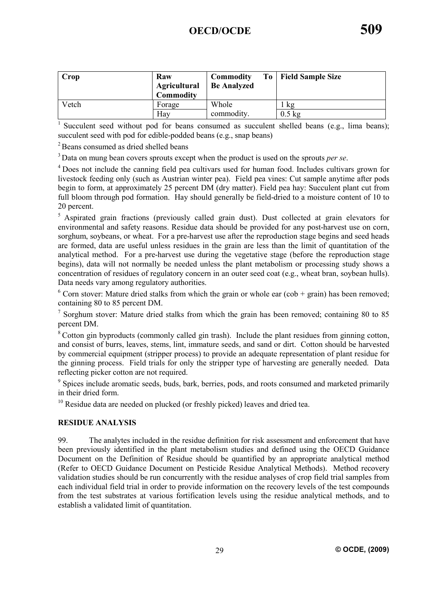| Crop  | Raw<br><b>Agricultural</b><br>Commodity | <b>Commodity</b><br><b>Be Analyzed</b> | <b>To</b> Field Sample Size |
|-------|-----------------------------------------|----------------------------------------|-----------------------------|
| Vetch | Forage                                  | Whole                                  | $k$ g                       |
|       | Hav                                     | commodity.                             | $0.5$ kg                    |

<sup>1</sup> Succulent seed without pod for beans consumed as succulent shelled beans (e.g., lima beans); succulent seed with pod for edible-podded beans (e.g., snap beans)

2 Beans consumed as dried shelled beans

<sup>3</sup> Data on mung bean covers sprouts except when the product is used on the sprouts *per se*.<br><sup>4</sup> Does not include the canning field pea cultivars used for human food. Includes cultivars grown for livestock feeding only (such as Austrian winter pea). Field pea vines: Cut sample anytime after pods begin to form, at approximately 25 percent DM (dry matter). Field pea hay: Succulent plant cut from full bloom through pod formation. Hay should generally be field-dried to a moisture content of 10 to 20 percent.

5 Aspirated grain fractions (previously called grain dust). Dust collected at grain elevators for environmental and safety reasons. Residue data should be provided for any post-harvest use on corn, sorghum, soybeans, or wheat. For a pre-harvest use after the reproduction stage begins and seed heads are formed, data are useful unless residues in the grain are less than the limit of quantitation of the analytical method. For a pre-harvest use during the vegetative stage (before the reproduction stage begins), data will not normally be needed unless the plant metabolism or processing study shows a concentration of residues of regulatory concern in an outer seed coat (e.g., wheat bran, soybean hulls). Data needs vary among regulatory authorities.

 $6$  Corn stover: Mature dried stalks from which the grain or whole ear (cob + grain) has been removed; containing 80 to 85 percent DM.

<sup>7</sup> Sorghum stover: Mature dried stalks from which the grain has been removed; containing 80 to 85 percent DM.

<sup>8</sup> Cotton gin byproducts (commonly called gin trash). Include the plant residues from ginning cotton, and consist of burrs, leaves, stems, lint, immature seeds, and sand or dirt. Cotton should be harvested by commercial equipment (stripper process) to provide an adequate representation of plant residue for the ginning process. Field trials for only the stripper type of harvesting are generally needed. Data reflecting picker cotton are not required.

<sup>9</sup> Spices include aromatic seeds, buds, bark, berries, pods, and roots consumed and marketed primarily in their dried form.

<sup>10</sup> Residue data are needed on plucked (or freshly picked) leaves and dried tea.

## **RESIDUE ANALYSIS**

99. The analytes included in the residue definition for risk assessment and enforcement that have been previously identified in the plant metabolism studies and defined using the OECD Guidance Document on the Definition of Residue should be quantified by an appropriate analytical method (Refer to OECD Guidance Document on Pesticide Residue Analytical Methods). Method recovery validation studies should be run concurrently with the residue analyses of crop field trial samples from each individual field trial in order to provide information on the recovery levels of the test compounds from the test substrates at various fortification levels using the residue analytical methods, and to establish a validated limit of quantitation.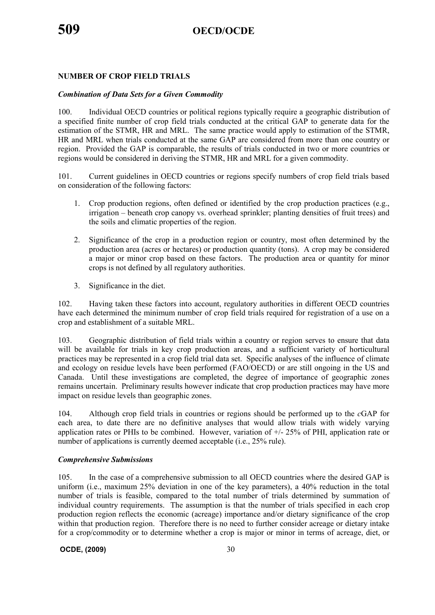## **NUMBER OF CROP FIELD TRIALS**

#### *Combination of Data Sets for a Given Commodity*

100. Individual OECD countries or political regions typically require a geographic distribution of a specified finite number of crop field trials conducted at the critical GAP to generate data for the estimation of the STMR, HR and MRL. The same practice would apply to estimation of the STMR, HR and MRL when trials conducted at the same GAP are considered from more than one country or region. Provided the GAP is comparable, the results of trials conducted in two or more countries or regions would be considered in deriving the STMR, HR and MRL for a given commodity.

101. Current guidelines in OECD countries or regions specify numbers of crop field trials based on consideration of the following factors:

- 1. Crop production regions, often defined or identified by the crop production practices (e.g., irrigation – beneath crop canopy vs. overhead sprinkler; planting densities of fruit trees) and the soils and climatic properties of the region.
- 2. Significance of the crop in a production region or country, most often determined by the production area (acres or hectares) or production quantity (tons). A crop may be considered a major or minor crop based on these factors. The production area or quantity for minor crops is not defined by all regulatory authorities.
- 3. Significance in the diet.

102. Having taken these factors into account, regulatory authorities in different OECD countries have each determined the minimum number of crop field trials required for registration of a use on a crop and establishment of a suitable MRL.

103. Geographic distribution of field trials within a country or region serves to ensure that data will be available for trials in key crop production areas, and a sufficient variety of horticultural practices may be represented in a crop field trial data set. Specific analyses of the influence of climate and ecology on residue levels have been performed (FAO/OECD) or are still ongoing in the US and Canada. Until these investigations are completed, the degree of importance of geographic zones remains uncertain. Preliminary results however indicate that crop production practices may have more impact on residue levels than geographic zones.

104. Although crop field trials in countries or regions should be performed up to the *c*GAP for each area, to date there are no definitive analyses that would allow trials with widely varying application rates or PHIs to be combined. However, variation of +/- 25% of PHI, application rate or number of applications is currently deemed acceptable (i.e., 25% rule).

## *Comprehensive Submissions*

105. In the case of a comprehensive submission to all OECD countries where the desired GAP is uniform (i.e., maximum 25% deviation in one of the key parameters), a 40% reduction in the total number of trials is feasible, compared to the total number of trials determined by summation of individual country requirements. The assumption is that the number of trials specified in each crop production region reflects the economic (acreage) importance and/or dietary significance of the crop within that production region. Therefore there is no need to further consider acreage or dietary intake for a crop/commodity or to determine whether a crop is major or minor in terms of acreage, diet, or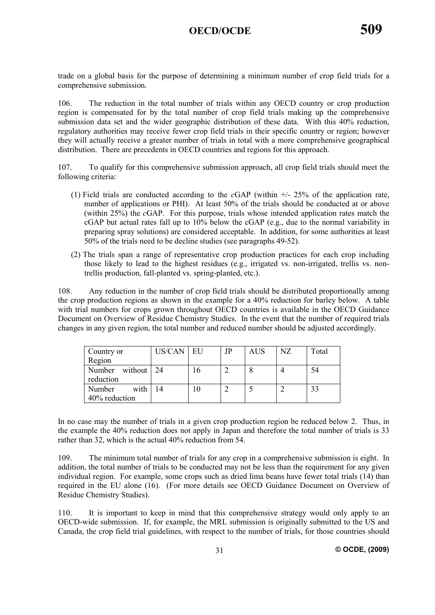trade on a global basis for the purpose of determining a minimum number of crop field trials for a comprehensive submission.

106. The reduction in the total number of trials within any OECD country or crop production region is compensated for by the total number of crop field trials making up the comprehensive submission data set and the wider geographic distribution of these data. With this 40% reduction, regulatory authorities may receive fewer crop field trials in their specific country or region; however they will actually receive a greater number of trials in total with a more comprehensive geographical distribution. There are precedents in OECD countries and regions for this approach.

107. To qualify for this comprehensive submission approach, all crop field trials should meet the following criteria:

- (1) Field trials are conducted according to the *c*GAP (within +/- 25% of the application rate, number of applications or PHI). At least 50% of the trials should be conducted at or above (within 25%) the *c*GAP. For this purpose, trials whose intended application rates match the cGAP but actual rates fall up to 10% below the cGAP (e.g., due to the normal variability in preparing spray solutions) are considered acceptable. In addition, for some authorities at least 50% of the trials need to be decline studies (see paragraphs 49-52).
- (2) The trials span a range of representative crop production practices for each crop including those likely to lead to the highest residues (e.g., irrigated vs. non-irrigated, trellis vs. nontrellis production, fall-planted vs. spring-planted, etc.).

108. Any reduction in the number of crop field trials should be distributed proportionally among the crop production regions as shown in the example for a 40% reduction for barley below. A table with trial numbers for crops grown throughout OECD countries is available in the OECD Guidance Document on Overview of Residue Chemistry Studies. In the event that the number of required trials changes in any given region, the total number and reduced number should be adjusted accordingly.

| Country or     | US/CAN EU | JP | AUS | NZ | Total |
|----------------|-----------|----|-----|----|-------|
| Region         |           |    |     |    |       |
| Number without | 24        |    |     |    | 54    |
| reduction      |           |    |     |    |       |
| with<br>Number | 14        |    |     |    | 33    |
| 40% reduction  |           |    |     |    |       |

In no case may the number of trials in a given crop production region be reduced below 2. Thus, in the example the 40% reduction does not apply in Japan and therefore the total number of trials is 33 rather than 32, which is the actual 40% reduction from 54.

109. The minimum total number of trials for any crop in a comprehensive submission is eight. In addition, the total number of trials to be conducted may not be less than the requirement for any given individual region. For example, some crops such as dried lima beans have fewer total trials (14) than required in the EU alone (16). (For more details see OECD Guidance Document on Overview of Residue Chemistry Studies).

110. It is important to keep in mind that this comprehensive strategy would only apply to an OECD-wide submission. If, for example, the MRL submission is originally submitted to the US and Canada, the crop field trial guidelines, with respect to the number of trials, for those countries should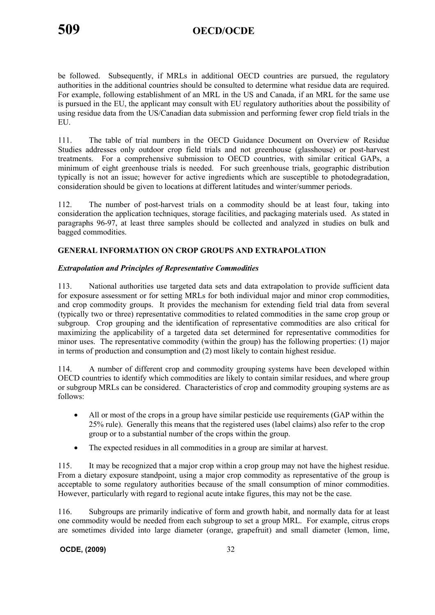be followed. Subsequently, if MRLs in additional OECD countries are pursued, the regulatory authorities in the additional countries should be consulted to determine what residue data are required. For example, following establishment of an MRL in the US and Canada, if an MRL for the same use is pursued in the EU, the applicant may consult with EU regulatory authorities about the possibility of using residue data from the US/Canadian data submission and performing fewer crop field trials in the EU.

111. The table of trial numbers in the OECD Guidance Document on Overview of Residue Studies addresses only outdoor crop field trials and not greenhouse (glasshouse) or post-harvest treatments. For a comprehensive submission to OECD countries, with similar critical GAPs, a minimum of eight greenhouse trials is needed. For such greenhouse trials, geographic distribution typically is not an issue; however for active ingredients which are susceptible to photodegradation, consideration should be given to locations at different latitudes and winter/summer periods.

112. The number of post-harvest trials on a commodity should be at least four, taking into consideration the application techniques, storage facilities, and packaging materials used. As stated in paragraphs 96-97, at least three samples should be collected and analyzed in studies on bulk and bagged commodities.

## **GENERAL INFORMATION ON CROP GROUPS AND EXTRAPOLATION**

## *Extrapolation and Principles of Representative Commodities*

113. National authorities use targeted data sets and data extrapolation to provide sufficient data for exposure assessment or for setting MRLs for both individual major and minor crop commodities, and crop commodity groups. It provides the mechanism for extending field trial data from several (typically two or three) representative commodities to related commodities in the same crop group or subgroup. Crop grouping and the identification of representative commodities are also critical for maximizing the applicability of a targeted data set determined for representative commodities for minor uses. The representative commodity (within the group) has the following properties: (1) major in terms of production and consumption and (2) most likely to contain highest residue.

114. A number of different crop and commodity grouping systems have been developed within OECD countries to identify which commodities are likely to contain similar residues, and where group or subgroup MRLs can be considered. Characteristics of crop and commodity grouping systems are as follows:

- All or most of the crops in a group have similar pesticide use requirements (GAP within the 25% rule). Generally this means that the registered uses (label claims) also refer to the crop group or to a substantial number of the crops within the group.
- The expected residues in all commodities in a group are similar at harvest.

115. It may be recognized that a major crop within a crop group may not have the highest residue. From a dietary exposure standpoint, using a major crop commodity as representative of the group is acceptable to some regulatory authorities because of the small consumption of minor commodities. However, particularly with regard to regional acute intake figures, this may not be the case.

116. Subgroups are primarily indicative of form and growth habit, and normally data for at least one commodity would be needed from each subgroup to set a group MRL. For example, citrus crops are sometimes divided into large diameter (orange, grapefruit) and small diameter (lemon, lime,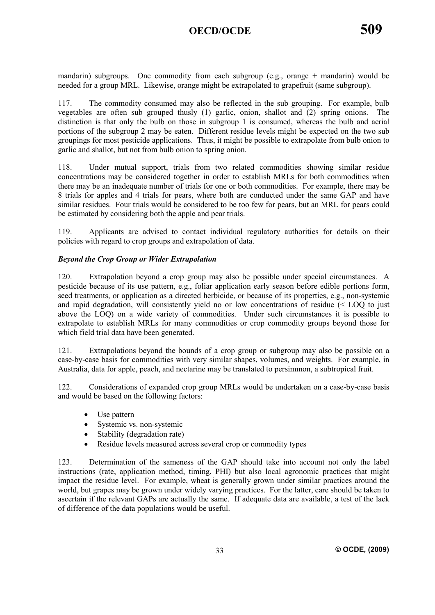mandarin) subgroups. One commodity from each subgroup (e.g., orange + mandarin) would be needed for a group MRL. Likewise, orange might be extrapolated to grapefruit (same subgroup).

117. The commodity consumed may also be reflected in the sub grouping. For example, bulb vegetables are often sub grouped thusly (1) garlic, onion, shallot and (2) spring onions. The distinction is that only the bulb on those in subgroup 1 is consumed, whereas the bulb and aerial portions of the subgroup 2 may be eaten. Different residue levels might be expected on the two sub groupings for most pesticide applications. Thus, it might be possible to extrapolate from bulb onion to garlic and shallot, but not from bulb onion to spring onion.

118. Under mutual support, trials from two related commodities showing similar residue concentrations may be considered together in order to establish MRLs for both commodities when there may be an inadequate number of trials for one or both commodities. For example, there may be 8 trials for apples and 4 trials for pears, where both are conducted under the same GAP and have similar residues. Four trials would be considered to be too few for pears, but an MRL for pears could be estimated by considering both the apple and pear trials.

119. Applicants are advised to contact individual regulatory authorities for details on their policies with regard to crop groups and extrapolation of data.

## *Beyond the Crop Group or Wider Extrapolation*

120. Extrapolation beyond a crop group may also be possible under special circumstances. A pesticide because of its use pattern, e.g., foliar application early season before edible portions form, seed treatments, or application as a directed herbicide, or because of its properties, e.g., non-systemic and rapid degradation, will consistently yield no or low concentrations of residue (< LOQ to just above the LOQ) on a wide variety of commodities. Under such circumstances it is possible to extrapolate to establish MRLs for many commodities or crop commodity groups beyond those for which field trial data have been generated.

121. Extrapolations beyond the bounds of a crop group or subgroup may also be possible on a case-by-case basis for commodities with very similar shapes, volumes, and weights. For example, in Australia, data for apple, peach, and nectarine may be translated to persimmon, a subtropical fruit.

122. Considerations of expanded crop group MRLs would be undertaken on a case-by-case basis and would be based on the following factors:

- Use pattern
- Systemic vs. non-systemic
- Stability (degradation rate)
- Residue levels measured across several crop or commodity types

123. Determination of the sameness of the GAP should take into account not only the label instructions (rate, application method, timing, PHI) but also local agronomic practices that might impact the residue level. For example, wheat is generally grown under similar practices around the world, but grapes may be grown under widely varying practices. For the latter, care should be taken to ascertain if the relevant GAPs are actually the same. If adequate data are available, a test of the lack of difference of the data populations would be useful.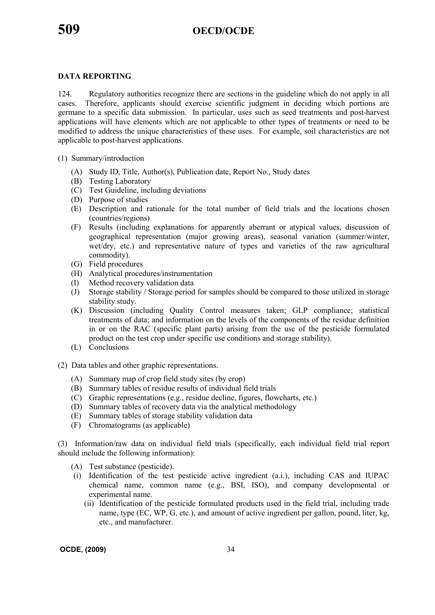## **DATA REPORTING**

124. Regulatory authorities recognize there are sections in the guideline which do not apply in all cases. Therefore, applicants should exercise scientific judgment in deciding which portions are germane to a specific data submission. In particular, uses such as seed treatments and post-harvest applications will have elements which are not applicable to other types of treatments or need to be modified to address the unique characteristics of these uses. For example, soil characteristics are not applicable to post-harvest applications.

(1) Summary/introduction

- (A) Study ID, Title, Author(s), Publication date, Report No., Study dates
- (B) Testing Laboratory
- (C) Test Guideline, including deviations
- (D) Purpose of studies
- (E) Description and rationale for the total number of field trials and the locations chosen (countries/regions)
- (F) Results (including explanations for apparently aberrant or atypical values, discussion of geographical representation (major growing areas), seasonal variation (summer/winter, wet/dry, etc.) and representative nature of types and varieties of the raw agricultural commodity).
- (G) Field procedures
- (H) Analytical procedures/instrumentation
- (I) Method recovery validation data
- (J) Storage stability / Storage period for samples should be compared to those utilized in storage stability study.
- (K) Discussion (including Quality Control measures taken; GLP compliance; statistical treatments of data; and information on the levels of the components of the residue definition in or on the RAC (specific plant parts) arising from the use of the pesticide formulated product on the test crop under specific use conditions and storage stability).
- (L) Conclusions
- (2) Data tables and other graphic representations.
	- (A) Summary map of crop field study sites (by crop)
	- (B) Summary tables of residue results of individual field trials
	- (C) Graphic representations (e.g., residue decline, figures, flowcharts, etc.)
	- (D) Summary tables of recovery data via the analytical methodology
	- (E) Summary tables of storage stability validation data
	- (F) Chromatograms (as applicable)

(3) Information/raw data on individual field trials (specifically, each individual field trial report should include the following information):

- (A) Test substance (pesticide).
- (i) Identification of the test pesticide active ingredient (a.i.), including CAS and IUPAC chemical name, common name (e.g., BSI, ISO), and company developmental or experimental name.
	- (ii) Identification of the pesticide formulated products used in the field trial, including trade name, type (EC, WP, G, etc.), and amount of active ingredient per gallon, pound, liter, kg, etc., and manufacturer.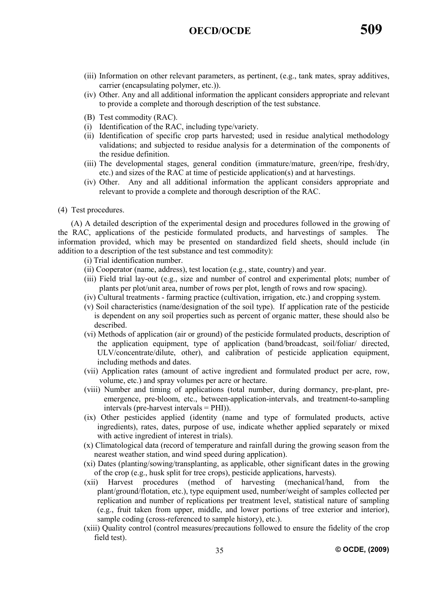- (iii) Information on other relevant parameters, as pertinent, (e.g., tank mates, spray additives, carrier (encapsulating polymer, etc.)).
- (iv) Other. Any and all additional information the applicant considers appropriate and relevant to provide a complete and thorough description of the test substance.
- (B) Test commodity (RAC).
- (i) Identification of the RAC, including type/variety.
- (ii) Identification of specific crop parts harvested; used in residue analytical methodology validations; and subjected to residue analysis for a determination of the components of the residue definition.
- (iii) The developmental stages, general condition (immature/mature, green/ripe, fresh/dry, etc.) and sizes of the RAC at time of pesticide application(s) and at harvestings.
- (iv) Other. Any and all additional information the applicant considers appropriate and relevant to provide a complete and thorough description of the RAC.

#### (4) Test procedures.

(A) A detailed description of the experimental design and procedures followed in the growing of the RAC, applications of the pesticide formulated products, and harvestings of samples. The information provided, which may be presented on standardized field sheets, should include (in addition to a description of the test substance and test commodity):

(i) Trial identification number.

- (ii) Cooperator (name, address), test location (e.g., state, country) and year.
- (iii) Field trial lay-out (e.g., size and number of control and experimental plots; number of plants per plot/unit area, number of rows per plot, length of rows and row spacing).
- (iv) Cultural treatments farming practice (cultivation, irrigation, etc.) and cropping system.
- (v) Soil characteristics (name/designation of the soil type). If application rate of the pesticide is dependent on any soil properties such as percent of organic matter, these should also be described.
- (vi) Methods of application (air or ground) of the pesticide formulated products, description of the application equipment, type of application (band/broadcast, soil/foliar/ directed, ULV/concentrate/dilute, other), and calibration of pesticide application equipment, including methods and dates.
- (vii) Application rates (amount of active ingredient and formulated product per acre, row, volume, etc.) and spray volumes per acre or hectare.
- (viii) Number and timing of applications (total number, during dormancy, pre-plant, preemergence, pre-bloom, etc., between-application-intervals, and treatment-to-sampling intervals (pre-harvest intervals = PHI)).
- (ix) Other pesticides applied (identity (name and type of formulated products, active ingredients), rates, dates, purpose of use, indicate whether applied separately or mixed with active ingredient of interest in trials).
- (x) Climatological data (record of temperature and rainfall during the growing season from the nearest weather station, and wind speed during application).
- (xi) Dates (planting/sowing/transplanting, as applicable, other significant dates in the growing of the crop (e.g., husk split for tree crops), pesticide applications, harvests).
- (xii) Harvest procedures (method of harvesting (mechanical/hand, from the plant/ground/flotation, etc.), type equipment used, number/weight of samples collected per replication and number of replications per treatment level, statistical nature of sampling (e.g., fruit taken from upper, middle, and lower portions of tree exterior and interior), sample coding (cross-referenced to sample history), etc.).
- (xiii) Quality control (control measures/precautions followed to ensure the fidelity of the crop field test).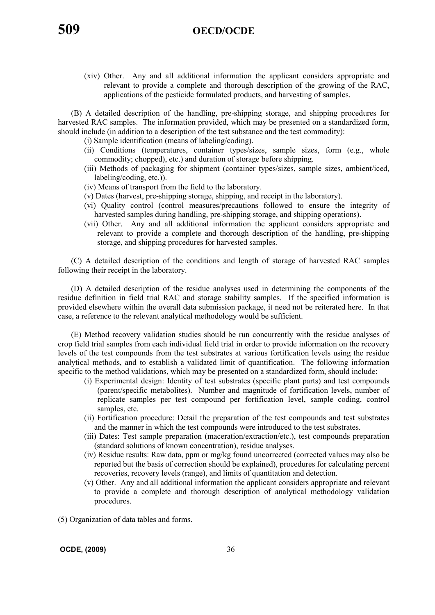- 
- (xiv) Other. Any and all additional information the applicant considers appropriate and relevant to provide a complete and thorough description of the growing of the RAC, applications of the pesticide formulated products, and harvesting of samples.

(B) A detailed description of the handling, pre-shipping storage, and shipping procedures for harvested RAC samples. The information provided, which may be presented on a standardized form, should include (in addition to a description of the test substance and the test commodity):

- (i) Sample identification (means of labeling/coding).
- (ii) Conditions (temperatures, container types/sizes, sample sizes, form (e.g., whole commodity; chopped), etc.) and duration of storage before shipping.
- (iii) Methods of packaging for shipment (container types/sizes, sample sizes, ambient/iced, labeling/coding, etc.)).
- (iv) Means of transport from the field to the laboratory.
- (v) Dates (harvest, pre-shipping storage, shipping, and receipt in the laboratory).
- (vi) Quality control (control measures/precautions followed to ensure the integrity of harvested samples during handling, pre-shipping storage, and shipping operations).
- (vii) Other. Any and all additional information the applicant considers appropriate and relevant to provide a complete and thorough description of the handling, pre-shipping storage, and shipping procedures for harvested samples.

(C) A detailed description of the conditions and length of storage of harvested RAC samples following their receipt in the laboratory.

(D) A detailed description of the residue analyses used in determining the components of the residue definition in field trial RAC and storage stability samples. If the specified information is provided elsewhere within the overall data submission package, it need not be reiterated here. In that case, a reference to the relevant analytical methodology would be sufficient.

(E) Method recovery validation studies should be run concurrently with the residue analyses of crop field trial samples from each individual field trial in order to provide information on the recovery levels of the test compounds from the test substrates at various fortification levels using the residue analytical methods, and to establish a validated limit of quantification. The following information specific to the method validations, which may be presented on a standardized form, should include:

- (i) Experimental design: Identity of test substrates (specific plant parts) and test compounds (parent/specific metabolites). Number and magnitude of fortification levels, number of replicate samples per test compound per fortification level, sample coding, control samples, etc.
- (ii) Fortification procedure: Detail the preparation of the test compounds and test substrates and the manner in which the test compounds were introduced to the test substrates.
- (iii) Dates: Test sample preparation (maceration/extraction/etc.), test compounds preparation (standard solutions of known concentration), residue analyses.
- (iv) Residue results: Raw data, ppm or mg/kg found uncorrected (corrected values may also be reported but the basis of correction should be explained), procedures for calculating percent recoveries, recovery levels (range), and limits of quantitation and detection.
- (v) Other. Any and all additional information the applicant considers appropriate and relevant to provide a complete and thorough description of analytical methodology validation procedures.

(5) Organization of data tables and forms.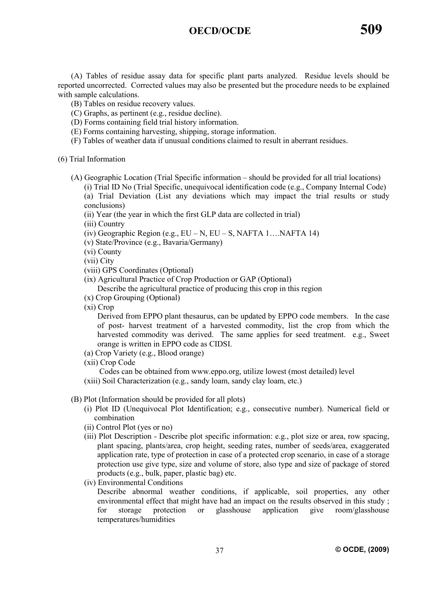(A) Tables of residue assay data for specific plant parts analyzed. Residue levels should be reported uncorrected. Corrected values may also be presented but the procedure needs to be explained with sample calculations.

- (B) Tables on residue recovery values.
- (C) Graphs, as pertinent (e.g., residue decline).
- (D) Forms containing field trial history information.
- (E) Forms containing harvesting, shipping, storage information.
- (F) Tables of weather data if unusual conditions claimed to result in aberrant residues.

(6) Trial Information

- (A) Geographic Location (Trial Specific information should be provided for all trial locations) (i) Trial ID No (Trial Specific, unequivocal identification code (e.g., Company Internal Code) (a) Trial Deviation (List any deviations which may impact the trial results or study conclusions)
	- (ii) Year (the year in which the first GLP data are collected in trial)
	- (iii) Country
	- (iv) Geographic Region (e.g., EU N, EU S, NAFTA 1….NAFTA 14)
	- (v) State/Province (e.g., Bavaria/Germany)
	- (vi) County

(vii) City

- (viii) GPS Coordinates (Optional)
- (ix) Agricultural Practice of Crop Production or GAP (Optional)

Describe the agricultural practice of producing this crop in this region

- (x) Crop Grouping (Optional)
- (xi) Crop

Derived from EPPO plant thesaurus, can be updated by EPPO code members. In the case of post- harvest treatment of a harvested commodity, list the crop from which the harvested commodity was derived. The same applies for seed treatment. e.g., Sweet orange is written in EPPO code as CIDSI.

- (a) Crop Variety (e.g., Blood orange)
- (xii) Crop Code

Codes can be obtained from www.eppo.org, utilize lowest (most detailed) level

(xiii) Soil Characterization (e.g., sandy loam, sandy clay loam, etc.)

- (B) Plot (Information should be provided for all plots)
	- (i) Plot ID (Unequivocal Plot Identification; e.g., consecutive number). Numerical field or combination
	- (ii) Control Plot (yes or no)
	- (iii) Plot Description Describe plot specific information: e.g., plot size or area, row spacing, plant spacing, plants/area, crop height, seeding rates, number of seeds/area, exaggerated application rate, type of protection in case of a protected crop scenario, in case of a storage protection use give type, size and volume of store, also type and size of package of stored products (e.g., bulk, paper, plastic bag) etc.
	- (iv) Environmental Conditions

Describe abnormal weather conditions, if applicable, soil properties, any other environmental effect that might have had an impact on the results observed in this study ; for storage protection or glasshouse application give room/glasshouse temperatures/humidities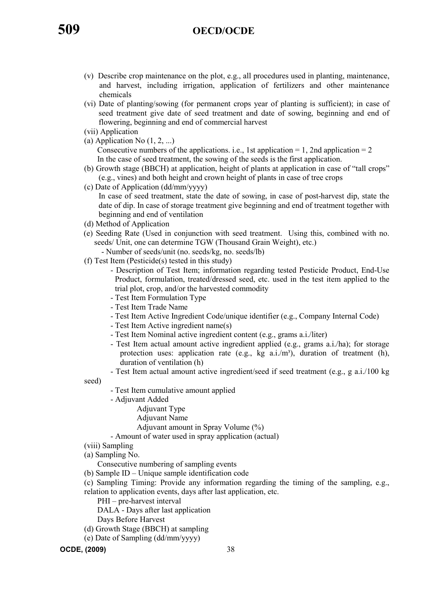- (v) Describe crop maintenance on the plot, e.g., all procedures used in planting, maintenance, and harvest, including irrigation, application of fertilizers and other maintenance chemicals
- (vi) Date of planting/sowing (for permanent crops year of planting is sufficient); in case of seed treatment give date of seed treatment and date of sowing, beginning and end of flowering, beginning and end of commercial harvest
- (vii) Application
- (a) Application No  $(1, 2, ...)$ 
	- Consecutive numbers of the applications. i.e., 1st application  $= 1$ , 2nd application  $= 2$ In the case of seed treatment, the sowing of the seeds is the first application.
- (b) Growth stage (BBCH) at application, height of plants at application in case of "tall crops" (e.g., vines) and both height and crown height of plants in case of tree crops
- (c) Date of Application (dd/mm/yyyy) In case of seed treatment, state the date of sowing, in case of post-harvest dip, state the date of dip. In case of storage treatment give beginning and end of treatment together with beginning and end of ventilation
- (d) Method of Application
- (e) Seeding Rate (Used in conjunction with seed treatment. Using this, combined with no. seeds/ Unit, one can determine TGW (Thousand Grain Weight), etc.)
	- Number of seeds/unit (no. seeds/kg, no. seeds/lb)
- (f) Test Item (Pesticide(s) tested in this study)
	- Description of Test Item; information regarding tested Pesticide Product, End-Use Product, formulation, treated/dressed seed, etc. used in the test item applied to the trial plot, crop, and/or the harvested commodity
	- Test Item Formulation Type
	- Test Item Trade Name
	- Test Item Active Ingredient Code/unique identifier (e.g., Company Internal Code)
	- Test Item Active ingredient name(s)
	- Test Item Nominal active ingredient content (e.g., grams a.i./liter)
	- Test Item actual amount active ingredient applied (e.g., grams a.i./ha); for storage protection uses: application rate (e.g., kg  $a.i/m<sup>3</sup>$ ), duration of treatment (h), duration of ventilation (h)
	- Test Item actual amount active ingredient/seed if seed treatment (e.g., g a.i./100 kg

seed)

- Test Item cumulative amount applied
- Adjuvant Added
	- Adjuvant Type
		- Adjuvant Name
	- Adjuvant amount in Spray Volume (%)

- Amount of water used in spray application (actual)

- (viii) Sampling
- (a) Sampling No.
	- Consecutive numbering of sampling events
- (b) Sample ID Unique sample identification code
- (c) Sampling Timing: Provide any information regarding the timing of the sampling, e.g., relation to application events, days after last application, etc.

PHI – pre-harvest interval

DALA - Days after last application

Days Before Harvest

- (d) Growth Stage (BBCH) at sampling
- (e) Date of Sampling (dd/mm/yyyy)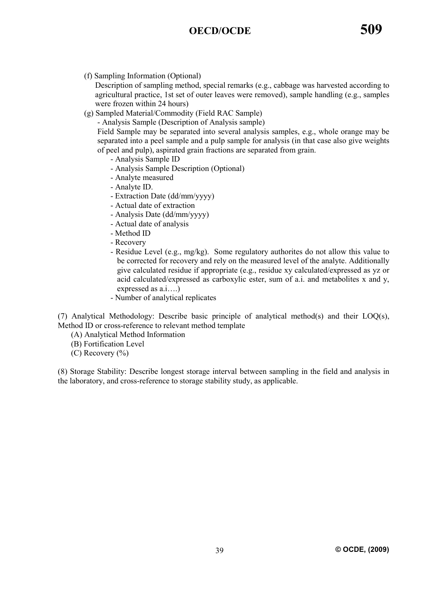(f) Sampling Information (Optional)

Description of sampling method, special remarks (e.g., cabbage was harvested according to agricultural practice, 1st set of outer leaves were removed), sample handling (e.g., samples were frozen within 24 hours)

(g) Sampled Material/Commodity (Field RAC Sample)

- Analysis Sample (Description of Analysis sample)

Field Sample may be separated into several analysis samples, e.g., whole orange may be separated into a peel sample and a pulp sample for analysis (in that case also give weights of peel and pulp), aspirated grain fractions are separated from grain.

- Analysis Sample ID
- Analysis Sample Description (Optional)
- Analyte measured
- Analyte ID.
- Extraction Date (dd/mm/yyyy)
- Actual date of extraction
- Analysis Date (dd/mm/yyyy)
- Actual date of analysis
- Method ID
- Recovery
- Residue Level (e.g., mg/kg). Some regulatory authorites do not allow this value to be corrected for recovery and rely on the measured level of the analyte. Additionally give calculated residue if appropriate (e.g., residue xy calculated/expressed as yz or acid calculated/expressed as carboxylic ester, sum of a.i. and metabolites x and y, expressed as a.i….)
- Number of analytical replicates

(7) Analytical Methodology: Describe basic principle of analytical method(s) and their LOQ(s), Method ID or cross-reference to relevant method template

- (A) Analytical Method Information
- (B) Fortification Level
- (C) Recovery  $(\% )$

(8) Storage Stability: Describe longest storage interval between sampling in the field and analysis in the laboratory, and cross-reference to storage stability study, as applicable.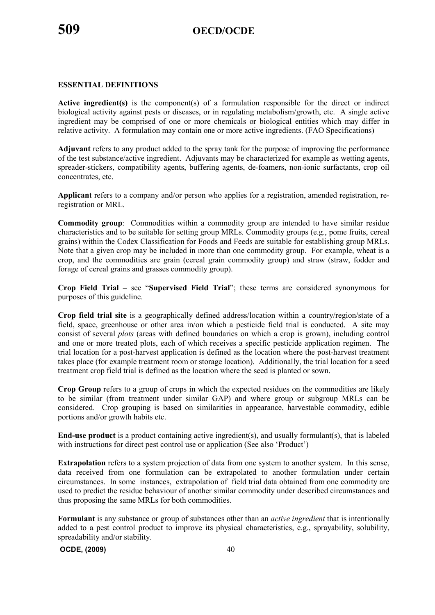#### **ESSENTIAL DEFINITIONS**

**Active ingredient(s)** is the component(s) of a formulation responsible for the direct or indirect biological activity against pests or diseases, or in regulating metabolism/growth, etc. A single active ingredient may be comprised of one or more chemicals or biological entities which may differ in relative activity. A formulation may contain one or more active ingredients. (FAO Specifications)

**Adjuvant** refers to any product added to the spray tank for the purpose of improving the performance of the test substance/active ingredient. Adjuvants may be characterized for example as wetting agents, spreader-stickers, compatibility agents, buffering agents, de-foamers, non-ionic surfactants, crop oil concentrates, etc.

**Applicant** refers to a company and/or person who applies for a registration, amended registration, reregistration or MRL.

**Commodity group**: Commodities within a commodity group are intended to have similar residue characteristics and to be suitable for setting group MRLs. Commodity groups (e.g., pome fruits, cereal grains) within the Codex Classification for Foods and Feeds are suitable for establishing group MRLs. Note that a given crop may be included in more than one commodity group. For example, wheat is a crop, and the commodities are grain (cereal grain commodity group) and straw (straw, fodder and forage of cereal grains and grasses commodity group).

**Crop Field Trial** – see "**Supervised Field Trial**"; these terms are considered synonymous for purposes of this guideline.

**Crop field trial site** is a geographically defined address/location within a country/region/state of a field, space, greenhouse or other area in/on which a pesticide field trial is conducted. A site may consist of several *plots* (areas with defined boundaries on which a crop is grown), including control and one or more treated plots, each of which receives a specific pesticide application regimen. The trial location for a post-harvest application is defined as the location where the post-harvest treatment takes place (for example treatment room or storage location). Additionally, the trial location for a seed treatment crop field trial is defined as the location where the seed is planted or sown.

**Crop Group** refers to a group of crops in which the expected residues on the commodities are likely to be similar (from treatment under similar GAP) and where group or subgroup MRLs can be considered. Crop grouping is based on similarities in appearance, harvestable commodity, edible portions and/or growth habits etc.

**End-use product** is a product containing active ingredient(s), and usually formulant(s), that is labeled with instructions for direct pest control use or application (See also 'Product')

**Extrapolation** refers to a system projection of data from one system to another system. In this sense, data received from one formulation can be extrapolated to another formulation under certain circumstances. In some instances, extrapolation of field trial data obtained from one commodity are used to predict the residue behaviour of another similar commodity under described circumstances and thus proposing the same MRLs for both commodities.

**Formulant** is any substance or group of substances other than an *active ingredient* that is intentionally added to a pest control product to improve its physical characteristics, e.g., sprayability, solubility, spreadability and/or stability.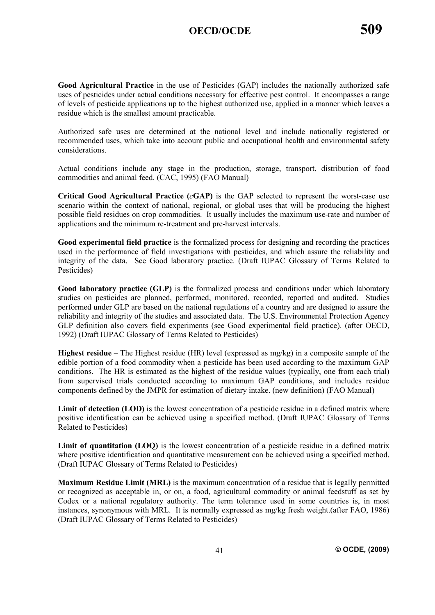**Good Agricultural Practice** in the use of Pesticides (GAP) includes the nationally authorized safe uses of pesticides under actual conditions necessary for effective pest control. It encompasses a range of levels of pesticide applications up to the highest authorized use, applied in a manner which leaves a residue which is the smallest amount practicable.

Authorized safe uses are determined at the national level and include nationally registered or recommended uses, which take into account public and occupational health and environmental safety considerations.

Actual conditions include any stage in the production, storage, transport, distribution of food commodities and animal feed. (CAC, 1995) (FAO Manual)

**Critical Good Agricultural Practice (***c***GAP)** is the GAP selected to represent the worst-case use scenario within the context of national, regional, or global uses that will be producing the highest possible field residues on crop commodities. It usually includes the maximum use-rate and number of applications and the minimum re-treatment and pre-harvest intervals.

**Good experimental field practice** is the formalized process for designing and recording the practices used in the performance of field investigations with pesticides, and which assure the reliability and integrity of the data. See Good laboratory practice. (Draft IUPAC Glossary of Terms Related to Pesticides)

**Good laboratory practice (GLP)** is **t**he formalized process and conditions under which laboratory studies on pesticides are planned, performed, monitored, recorded, reported and audited. Studies performed under GLP are based on the national regulations of a country and are designed to assure the reliability and integrity of the studies and associated data. The U.S. Environmental Protection Agency GLP definition also covers field experiments (see Good experimental field practice). (after OECD, 1992) (Draft IUPAC Glossary of Terms Related to Pesticides)

**Highest residue** – The Highest residue (HR) level (expressed as mg/kg) in a composite sample of the edible portion of a food commodity when a pesticide has been used according to the maximum GAP conditions. The HR is estimated as the highest of the residue values (typically, one from each trial) from supervised trials conducted according to maximum GAP conditions, and includes residue components defined by the JMPR for estimation of dietary intake. (new definition) (FAO Manual)

**Limit of detection (LOD)** is the lowest concentration of a pesticide residue in a defined matrix where positive identification can be achieved using a specified method. (Draft IUPAC Glossary of Terms Related to Pesticides)

**Limit of quantitation (LOQ)** is the lowest concentration of a pesticide residue in a defined matrix where positive identification and quantitative measurement can be achieved using a specified method. (Draft IUPAC Glossary of Terms Related to Pesticides)

**Maximum Residue Limit (MRL)** is the maximum concentration of a residue that is legally permitted or recognized as acceptable in, or on, a food, agricultural commodity or animal feedstuff as set by Codex or a national regulatory authority. The term tolerance used in some countries is, in most instances, synonymous with MRL. It is normally expressed as mg/kg fresh weight.(after FAO, 1986) (Draft IUPAC Glossary of Terms Related to Pesticides)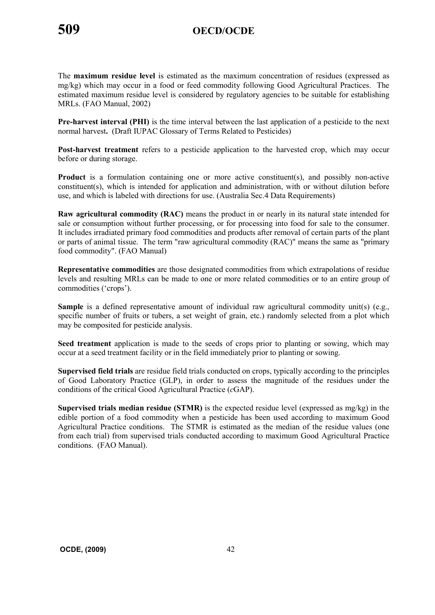The **maximum residue level** is estimated as the maximum concentration of residues (expressed as mg/kg) which may occur in a food or feed commodity following Good Agricultural Practices. The estimated maximum residue level is considered by regulatory agencies to be suitable for establishing MRLs. (FAO Manual, 2002)

**Pre-harvest interval (PHI)** is the time interval between the last application of a pesticide to the next normal harvest**.** (Draft IUPAC Glossary of Terms Related to Pesticides)

**Post-harvest treatment** refers to a pesticide application to the harvested crop, which may occur before or during storage.

**Product** is a formulation containing one or more active constituent(s), and possibly non-active constituent(s), which is intended for application and administration, with or without dilution before use, and which is labeled with directions for use. (Australia Sec.4 Data Requirements)

**Raw agricultural commodity (RAC)** means the product in or nearly in its natural state intended for sale or consumption without further processing, or for processing into food for sale to the consumer. It includes irradiated primary food commodities and products after removal of certain parts of the plant or parts of animal tissue. The term "raw agricultural commodity (RAC)" means the same as "primary food commodity". (FAO Manual)

**Representative commodities** are those designated commodities from which extrapolations of residue levels and resulting MRLs can be made to one or more related commodities or to an entire group of commodities ('crops').

**Sample** is a defined representative amount of individual raw agricultural commodity unit(s) (e.g., specific number of fruits or tubers, a set weight of grain, etc.) randomly selected from a plot which may be composited for pesticide analysis.

**Seed treatment** application is made to the seeds of crops prior to planting or sowing, which may occur at a seed treatment facility or in the field immediately prior to planting or sowing.

**Supervised field trials** are residue field trials conducted on crops, typically according to the principles of Good Laboratory Practice (GLP), in order to assess the magnitude of the residues under the conditions of the critical Good Agricultural Practice (*c*GAP).

**Supervised trials median residue (STMR)** is the expected residue level (expressed as mg/kg) in the edible portion of a food commodity when a pesticide has been used according to maximum Good Agricultural Practice conditions. The STMR is estimated as the median of the residue values (one from each trial) from supervised trials conducted according to maximum Good Agricultural Practice conditions. (FAO Manual).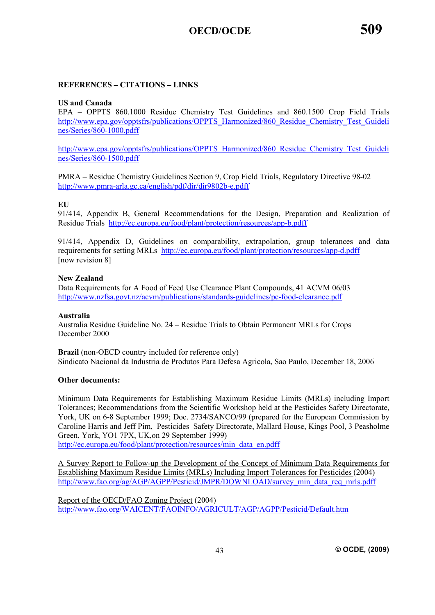## **REFERENCES – CITATIONS – LINKS**

## **US and Canada**

EPA – OPPTS 860.1000 Residue Chemistry Test Guidelines and 860.1500 Crop Field Trials http://www.epa.gov/opptsfrs/publications/OPPTS\_Harmonized/860\_Residue\_Chemistry\_Test\_Guideli nes/Series/860-1000.pdff

http://www.epa.gov/opptsfrs/publications/OPPTS\_Harmonized/860\_Residue\_Chemistry\_Test\_Guideli nes/Series/860-1500.pdff

PMRA – Residue Chemistry Guidelines Section 9, Crop Field Trials, Regulatory Directive 98-02 http://www.pmra-arla.gc.ca/english/pdf/dir/dir9802b-e.pdff

## **EU**

91/414, Appendix B, General Recommendations for the Design, Preparation and Realization of Residue Trials http://ec.europa.eu/food/plant/protection/resources/app-b.pdff

91/414, Appendix D, Guidelines on comparability, extrapolation, group tolerances and data requirements for setting MRLs http://ec.europa.eu/food/plant/protection/resources/app-d.pdff [now revision 8]

## **New Zealand**

Data Requirements for A Food of Feed Use Clearance Plant Compounds, 41 ACVM 06/03 http://www.nzfsa.govt.nz/acvm/publications/standards-guidelines/pc-food-clearance.pdf

## **Australia**

Australia Residue Guideline No. 24 – Residue Trials to Obtain Permanent MRLs for Crops December 2000

**Brazil** (non-OECD country included for reference only) Sindicato Nacional da Industria de Produtos Para Defesa Agricola, Sao Paulo, December 18, 2006

## **Other documents:**

Minimum Data Requirements for Establishing Maximum Residue Limits (MRLs) including Import Tolerances; Recommendations from the Scientific Workshop held at the Pesticides Safety Directorate, York, UK on 6-8 September 1999; Doc. 2734/SANCO/99 (prepared for the European Commission by Caroline Harris and Jeff Pim, Pesticides Safety Directorate, Mallard House, Kings Pool, 3 Peasholme Green, York, YO1 7PX, UK,on 29 September 1999)

http://ec.europa.eu/food/plant/protection/resources/min\_data\_en.pdff

A Survey Report to Follow-up the Development of the Concept of Minimum Data Requirements for Establishing Maximum Residue Limits (MRLs) Including Import Tolerances for Pesticides (2004) http://www.fao.org/ag/AGP/AGPP/Pesticid/JMPR/DOWNLOAD/survey\_min\_data\_req\_mrls.pdff

Report of the OECD/FAO Zoning Project (2004) http://www.fao.org/WAICENT/FAOINFO/AGRICULT/AGP/AGPP/Pesticid/Default.htm